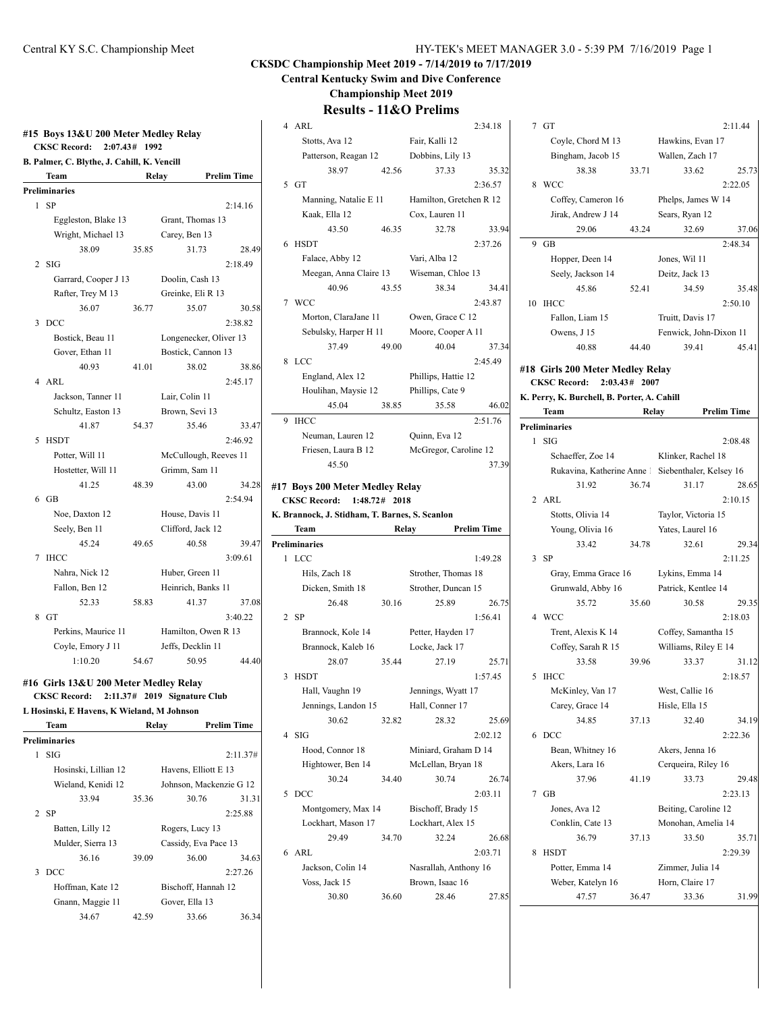|                | <b>CKSC Record:</b><br>2:07.43#             | 1992  |                        |                    |
|----------------|---------------------------------------------|-------|------------------------|--------------------|
|                | B. Palmer, C. Blythe, J. Cahill, K. Vencill |       |                        |                    |
|                | Team                                        |       | Relay                  | <b>Prelim Time</b> |
|                | <b>Preliminaries</b>                        |       |                        |                    |
| 1              | SP                                          |       |                        | 2:14.16            |
|                | Eggleston, Blake 13                         |       | Grant, Thomas 13       |                    |
|                | Wright, Michael 13                          |       | Carey, Ben 13          |                    |
|                | 38.09                                       | 35.85 | 31.73                  | 28.49              |
| $\overline{c}$ | SIG                                         |       |                        | 2:18.49            |
|                | Garrard, Cooper J 13                        |       | Doolin, Cash 13        |                    |
|                | Rafter, Trey M 13                           |       | Greinke, Eli R 13      |                    |
|                | 36.07                                       | 36.77 | 35.07                  | 30.58              |
| 3              | DCC                                         |       |                        | 2:38.82            |
|                | Bostick, Beau 11                            |       | Longenecker, Oliver 13 |                    |
|                | Gover, Ethan 11                             |       | Bostick, Cannon 13     |                    |
|                | 40.93                                       | 41.01 | 38.02                  | 38.86              |
| 4              | ARL                                         |       |                        | 2:45.17            |
|                | Jackson, Tanner 11                          |       | Lair, Colin 11         |                    |
|                | Schultz, Easton 13                          |       | Brown, Sevi 13         |                    |
|                | 41.87                                       | 54.37 | 35.46                  | 33.47              |
| 5              | <b>HSDT</b>                                 |       |                        | 2:46.92            |
|                | Potter, Will 11                             |       | McCullough, Reeves 11  |                    |
|                | Hostetter, Will 11                          |       | Grimm, Sam 11          |                    |
|                | 41.25                                       | 48.39 | 43.00                  | 34.28              |
| 6              | GB                                          |       |                        | 2:54.94            |
|                | Noe, Daxton 12                              |       | House, Davis 11        |                    |
|                | Seely, Ben 11                               |       | Clifford, Jack 12      |                    |
|                | 45.24                                       | 49.65 | 40.58                  | 39.47              |
| 7              | <b>IHCC</b>                                 |       |                        | 3:09.61            |
|                | Nahra, Nick 12                              |       | Huber, Green 11        |                    |
|                | Fallon, Ben 12                              |       | Heinrich, Banks 11     |                    |
|                | 52.33                                       | 58.83 | 41.37                  | 37.08              |
| 8              | GT                                          |       |                        | 3:40.22            |
|                | Perkins, Maurice 11                         |       | Hamilton, Owen R 13    |                    |
|                | Coyle, Emory J 11                           |       | Jeffs, Decklin 11      |                    |
|                | 1:10.20                                     | 54.67 | 50.95                  | 44.40              |

### **#16 Girls 13&U 200 Meter Medley Relay**

|               | CKSC Record: 2:11.37# 2019 Signature Club  |       |                         |                    |
|---------------|--------------------------------------------|-------|-------------------------|--------------------|
|               | L Hosinski, E Havens, K Wieland, M Johnson |       |                         |                    |
|               | Team                                       |       | Relay                   | <b>Prelim Time</b> |
|               | <b>Preliminaries</b>                       |       |                         |                    |
| $\mathbf{1}$  | SIG                                        |       |                         | 2:11.37#           |
|               | Hosinski, Lillian 12                       |       | Havens, Elliott E 13    |                    |
|               | Wieland, Kenidi 12                         |       | Johnson, Mackenzie G 12 |                    |
|               | 33.94                                      | 35.36 | 30.76                   | 31.31              |
|               | 2 SP                                       |       |                         | 2:25.88            |
|               | Batten, Lilly 12                           |       | Rogers, Lucy 13         |                    |
|               | Mulder, Sierra 13                          |       | Cassidy, Eva Pace 13    |                    |
|               | 36.16                                      | 39.09 | 36.00                   | 34.63              |
| $\mathcal{F}$ | DCC                                        |       |                         | 2:27.26            |
|               | Hoffman, Kate 12                           |       | Bischoff, Hannah 12     |                    |
|               | Gnann, Maggie 11                           |       | Gover, Ella 13          |                    |
|               | 34.67                                      | 42.59 | 33.66                   | 36.3               |
|               |                                            |       |                         |                    |

### **CKSDC Championship Meet 2019 - 7/14/2019 to 7/17/2019**

**Central Kentucky Swim and Dive Conference**

**Championship Meet 2019**

| 4                          | ARL                                            |       |                          | 2:34.18            |  |
|----------------------------|------------------------------------------------|-------|--------------------------|--------------------|--|
|                            | Stotts, Ava 12                                 |       | Fair, Kalli 12           |                    |  |
|                            | Patterson, Reagan 12 Dobbins, Lily 13          |       |                          |                    |  |
|                            | 38.97                                          | 42.56 | 37.33                    | 35.32              |  |
|                            | 5 GT                                           |       |                          | 2:36.57            |  |
|                            | Manning, Natalie E 11                          |       | Hamilton, Gretchen R 12  |                    |  |
|                            |                                                |       |                          |                    |  |
|                            | Kaak, Ella 12                                  |       | Cox, Lauren 11           |                    |  |
|                            | 43.50                                          | 46.35 | 32.78                    | 33.94              |  |
| 6                          | <b>HSDT</b>                                    |       |                          | 2:37.26            |  |
|                            | Falace, Abby 12                                |       | Vari, Alba 12            |                    |  |
|                            | Meegan, Anna Claire 13                         |       | Wiseman, Chloe 13        |                    |  |
|                            | 40.96                                          | 43.55 | 38.34                    | 34.41              |  |
|                            | 7 WCC                                          |       |                          | 2:43.87            |  |
|                            | Morton, ClaraJane 11                           |       | Owen, Grace C 12         |                    |  |
|                            | Sebulsky, Harper H 11 Moore, Cooper A 11       |       |                          |                    |  |
|                            | 37.49                                          | 49.00 | 40.04                    | 37.34              |  |
| 8                          | <b>LCC</b>                                     |       |                          | 2:45.49            |  |
|                            | England, Alex 12                               |       | Phillips, Hattie 12      |                    |  |
|                            | Houlihan, Maysie 12                            |       | Phillips, Cate 9         |                    |  |
|                            | 45.04                                          | 38.85 | 35.58                    | 46.02              |  |
| 9                          | IHCC                                           |       |                          | 2:51.76            |  |
|                            | Neuman, Lauren 12                              |       | Quinn, Eva 12            |                    |  |
|                            | Friesen, Laura B 12                            |       | McGregor, Caroline 12    |                    |  |
|                            | 45.50                                          |       |                          | 37.39              |  |
|                            |                                                |       |                          |                    |  |
|                            | #17 Boys 200 Meter Medley Relay                |       |                          |                    |  |
| CKSC Record: 1:48.72# 2018 |                                                |       |                          |                    |  |
|                            |                                                |       |                          |                    |  |
|                            | K. Brannock, J. Stidham, T. Barnes, S. Scanlon |       |                          |                    |  |
|                            | Team                                           | Relay |                          | <b>Prelim Time</b> |  |
|                            | <b>Preliminaries</b>                           |       |                          |                    |  |
|                            | 1 LCC                                          |       |                          | 1:49.28            |  |
|                            | Hils, Zach 18                                  |       | Strother, Thomas 18      |                    |  |
|                            | Dicken, Smith 18                               |       | Strother, Duncan 15      |                    |  |
|                            | 26.48                                          | 30.16 | 25.89                    | 26.75              |  |
|                            | $2$ SP                                         |       |                          | 1:56.41            |  |
|                            | Brannock, Kole 14                              |       | Petter, Hayden 17        |                    |  |
|                            | Brannock, Kaleb 16                             |       | Locke, Jack 17           |                    |  |
|                            | 28.07                                          | 35.44 | 27.19                    | 25.71              |  |
| 3                          | <b>HSDT</b>                                    |       |                          | 1:57.45            |  |
|                            | Hall, Vaughn 19                                |       | Jennings, Wyatt 17       |                    |  |
|                            | Jennings, Landon 15                            |       | Hall, Conner 17          |                    |  |
|                            | 30.62                                          | 32.82 | 28.32                    | 25.69              |  |
| 4                          |                                                |       |                          |                    |  |
|                            | SIG                                            |       |                          | 2:02.12            |  |
|                            | Hood, Connor 18                                |       | Miniard, Graham D 14     |                    |  |
|                            | Hightower, Ben 14                              |       | McLellan, Bryan 18       |                    |  |
|                            | 30.24                                          | 34.40 | 30.74                    | 26.74              |  |
| 5                          | DCC                                            |       |                          | 2:03.11            |  |
|                            | Montgomery, Max 14                             |       | Bischoff, Brady 15       |                    |  |
|                            | Lockhart, Mason 17                             |       | Lockhart, Alex 15        |                    |  |
|                            | 29.49                                          | 34.70 | 32.24                    | 26.68              |  |
| 6                          | ARI.                                           |       |                          | 2:03.71            |  |
|                            | Jackson, Colin 14                              |       | Nasrallah, Anthony 16    |                    |  |
|                            | Voss, Jack 15<br>30.80                         | 36.60 | Brown, Isaac 16<br>28.46 | 27.85              |  |

| 7  | GT                                               |       |                        | 2:11.44            |
|----|--------------------------------------------------|-------|------------------------|--------------------|
|    | Coyle, Chord M 13                                |       | Hawkins, Evan 17       |                    |
|    | Bingham, Jacob 15                                |       | Wallen, Zach 17        |                    |
|    | 38.38                                            | 33.71 | 33.62                  | 25.73              |
| 8  | <b>WCC</b>                                       |       |                        | 2:22.05            |
|    | Coffey, Cameron 16                               |       | Phelps, James W 14     |                    |
|    | Jirak, Andrew J 14                               |       | Sears, Ryan 12         |                    |
|    | 29.06                                            | 43.24 | 32.69                  | 37.06              |
| 9  | GB                                               |       |                        | 2:48.34            |
|    | Hopper, Deen 14                                  |       | Jones, Wil 11          |                    |
|    | Seely, Jackson 14                                |       | Deitz, Jack 13         |                    |
|    | 45.86                                            | 52.41 | 34.59                  | 35.48              |
| 10 | <b>IHCC</b>                                      |       |                        | 2:50.10            |
|    | Fallon, Liam 15                                  |       | Truitt, Davis 17       |                    |
|    | Owens, J 15                                      |       | Fenwick, John-Dixon 11 |                    |
|    | 40.88                                            | 44.40 | 39.41                  | 45.41              |
|    |                                                  |       |                        |                    |
|    | #18 Girls 200 Meter Medley Relay                 |       |                        |                    |
|    | <b>CKSC Record:</b><br>2:03.43#                  | 2007  |                        |                    |
|    | K. Perry, K. Burchell, B. Porter, A. Cahill      |       |                        |                    |
|    | Team                                             |       | Relay                  | <b>Prelim Time</b> |
|    | <b>Preliminaries</b>                             |       |                        |                    |
| 1  | SIG                                              |       |                        | 2:08.48            |
|    | Schaeffer, Zoe 14                                |       | Klinker, Rachel 18     |                    |
|    | Rukavina, Katherine Anne Siebenthaler, Kelsey 16 |       |                        |                    |
|    | 31.92                                            | 36.74 | 31.17                  | 28.65              |
|    | 2 ARL                                            |       |                        | 2:10.15            |
|    | Stotts, Olivia 14                                |       | Taylor, Victoria 15    |                    |
|    | Young, Olivia 16                                 |       | Yates, Laurel 16       |                    |
|    | 33.42                                            | 34.78 | 32.61                  | 29.34              |
| 3  | <b>SP</b>                                        |       |                        | 2:11.25            |
|    | Gray, Emma Grace 16                              |       | Lykins, Emma 14        |                    |
|    | Grunwald, Abby 16                                |       | Patrick, Kentlee 14    |                    |
|    | 35.72                                            | 35.60 | 30.58                  | 29.35              |
|    | 4 WCC                                            |       |                        | 2:18.03            |
|    | Trent, Alexis K 14                               |       | Coffey, Samantha 15    |                    |
|    | Coffey, Sarah R 15                               |       | Williams, Riley E 14   |                    |
|    | 33.58                                            | 39.96 | 33.37                  | 31.12              |
| 5  | <b>IHCC</b>                                      |       |                        | 2:18.57            |
|    | McKinley, Van 17                                 |       | West, Callie 16        |                    |
|    | Carey, Grace 14                                  |       | Hisle, Ella 15         |                    |
|    | 34.85                                            | 37.13 | 32.40                  | 34.19              |
| 6  | DCC                                              |       |                        | 2:22.36            |
|    | Bean, Whitney 16                                 |       | Akers, Jenna 16        |                    |
|    | Akers, Lara 16                                   |       | Cerqueira, Riley 16    |                    |
|    | 37.96                                            | 41.19 | 33.73                  | 29.48              |
| 7  | GB                                               |       |                        | 2:23.13            |
|    | Jones, Ava 12                                    |       | Beiting, Caroline 12   |                    |
|    | Conklin, Cate 13                                 |       | Monohan, Amelia 14     |                    |
|    | 36.79                                            | 37.13 | 33.50                  | 35.71              |
| 8  | <b>HSDT</b>                                      |       |                        | 2:29.39            |
|    | Potter, Emma 14                                  |       | Zimmer, Julia 14       |                    |
|    |                                                  |       |                        |                    |
|    | Weber, Katelyn 16                                |       | Horn, Claire 17        |                    |
|    | 47.57                                            | 36.47 | 33.36                  | 31.99              |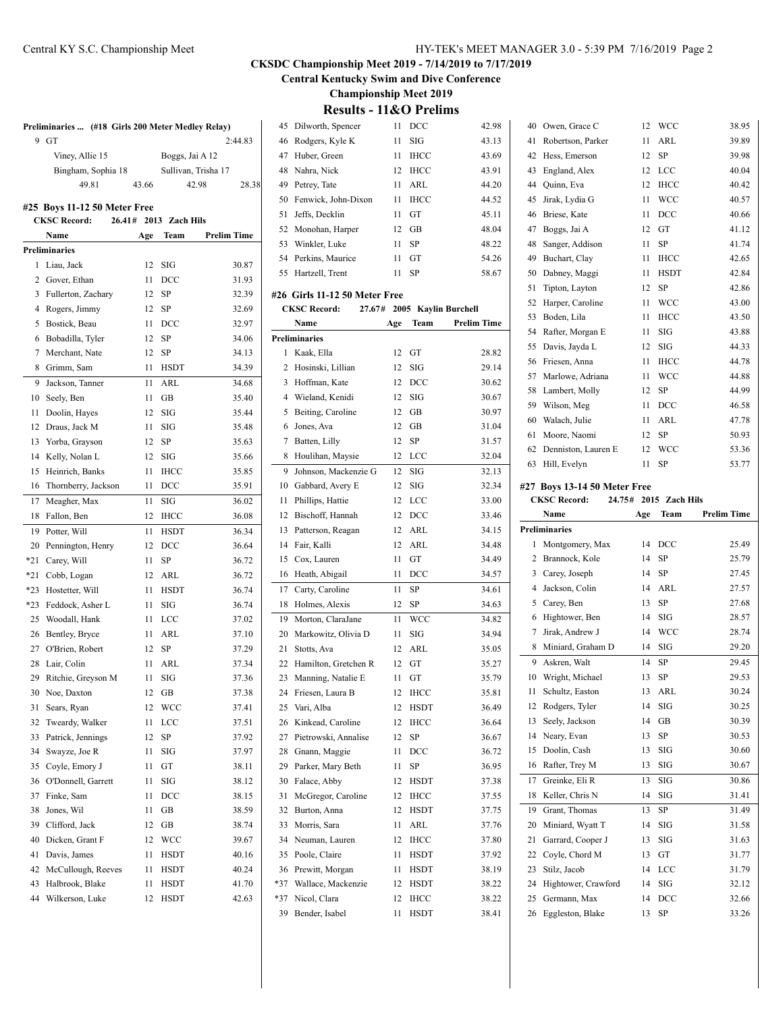**Central Kentucky Swim and Dive Conference**

**Championship Meet 2019**

**Results - 11&O Prelims**

| Preliminaries  (#18 Girls 200 Meter Medley Relay) |                              |        |       |                 |                     |         |
|---------------------------------------------------|------------------------------|--------|-------|-----------------|---------------------|---------|
| 9                                                 | GT                           |        |       |                 |                     | 2:44.83 |
|                                                   | Viney, Allie 15              |        |       | Boggs, Jai A 12 |                     |         |
|                                                   | Bingham, Sophia 18           |        |       |                 | Sullivan, Trisha 17 |         |
|                                                   | 49.81                        |        | 43.66 |                 | 42.98               | 28.38   |
|                                                   |                              |        |       |                 |                     |         |
|                                                   | #25 Boys 11-12 50 Meter Free |        |       |                 |                     |         |
|                                                   | <b>CKSC Record:</b>          | 26.41# |       | 2013 Zach Hils  |                     |         |
|                                                   | Name                         |        | Age   | Team            | <b>Prelim Time</b>  |         |
|                                                   | <b>Preliminaries</b>         |        |       |                 |                     |         |
| 1                                                 | Liau, Jack                   |        | 12    | SIG             |                     | 30.87   |
| 2                                                 | Gover, Ethan                 |        | 11    | DCC             |                     | 31.93   |
| 3                                                 | Fullerton, Zachary           |        | 12    | SP              |                     | 32.39   |
| 4                                                 | Rogers, Jimmy                |        | 12    | SP              |                     | 32.69   |
| 5                                                 | Bostick, Beau                |        | 11    | DCC             |                     | 32.97   |
| 6                                                 | Bobadilla, Tyler             |        | 12    | SP              |                     | 34.06   |
| 7                                                 | Merchant, Nate               |        | 12    | SP              |                     | 34.13   |
| 8                                                 | Grimm, Sam                   |        | 11    | <b>HSDT</b>     |                     | 34.39   |
| 9                                                 | Jackson, Tanner              |        | 11    | <b>ARL</b>      |                     | 34.68   |
| 10                                                | Seely, Ben                   |        | 11    | <b>GB</b>       |                     | 35.40   |
| 11                                                | Doolin, Hayes                |        | 12    | SIG             |                     | 35.44   |
| 12                                                | Draus, Jack M                |        | 11    | <b>SIG</b>      |                     | 35.48   |
| 13                                                | Yorba, Grayson               |        | 12    | SP              |                     | 35.63   |
| 14                                                | Kelly, Nolan L               |        | 12    | SIG             |                     | 35.66   |
| 15                                                | Heinrich, Banks              |        | 11    | <b>IHCC</b>     |                     | 35.85   |
| 16                                                | Thornberry, Jackson          |        | 11    | DCC             |                     | 35.91   |
| 17                                                | Meagher, Max                 |        | 11    | SIG             |                     | 36.02   |
| 18                                                | Fallon, Ben                  |        | 12    | <b>IHCC</b>     |                     | 36.08   |
| 19                                                | Potter, Will                 |        | 11    | <b>HSDT</b>     |                     | 36.34   |
| 20                                                | Pennington, Henry            |        | 12    | DCC             |                     | 36.64   |
| $*21$                                             | Carey, Will                  |        | 11    | SP              |                     | 36.72   |
| $*21$                                             | Cobb, Logan                  |        | 12    | ARL             |                     | 36.72   |
| $*23$                                             | Hostetter, Will              |        | 11    | <b>HSDT</b>     |                     | 36.74   |
| $*23$                                             | Feddock, Asher L             |        | 11    | SIG             |                     | 36.74   |
| 25                                                | Woodall, Hank                |        | 11    | LCC             |                     | 37.02   |
| 26                                                | Bentley, Bryce               |        | 11    | ARL             |                     | 37.10   |
| 27                                                | O'Brien, Robert              |        | 12    | SP              |                     | 37.29   |
| 28                                                | Lair, Colin                  |        | 11    | ARL             |                     | 37.34   |
| 29                                                | Ritchie, Greyson M           |        | 11    | SIG             |                     | 37.36   |
| 30                                                | Noe, Daxton                  |        | 12    | GВ              |                     | 37.38   |
| 31                                                | Sears, Ryan                  |        | 12    | WCC             |                     | 37.41   |
| 32                                                | Tweardy, Walker              |        | 11    | LCC             |                     | 37.51   |
| 33                                                | Patrick, Jennings            |        | 12    | SP              |                     | 37.92   |
| 34                                                | Swayze, Joe R                |        | 11    | SIG             |                     | 37.97   |
| 35                                                | Coyle, Emory J               |        | 11    | GT              |                     | 38.11   |
| 36                                                | O'Donnell, Garrett           |        | 11    | SIG             |                     | 38.12   |
| 37                                                | Finke, Sam                   |        | 11    | DCC             |                     | 38.15   |
| 38                                                | Jones, Wil                   |        | 11    | GB              |                     | 38.59   |
| 39                                                | Clifford, Jack               |        | 12    | GB              |                     | 38.74   |
| 40                                                | Dicken, Grant F              |        | 12    | WCC             |                     | 39.67   |
| 41                                                | Davis, James                 |        | 11    | HSDT            |                     | 40.16   |
| 42                                                | McCullough, Reeves           |        | 11    | HSDT            |                     | 40.24   |
| 43                                                | Halbrook, Blake              |        | 11    | HSDT            |                     | 41.70   |
| 44                                                | Wilkerson, Luke              |        | 12    | <b>HSDT</b>     |                     | 42.63   |

| 45       | Dilworth, Spencer             | 11       | DCC                  | 42.98              |
|----------|-------------------------------|----------|----------------------|--------------------|
| 46       | Rodgers, Kyle K               | 11       | SIG                  | 43.13              |
| 47       | Huber, Green                  | 11       | <b>IHCC</b>          | 43.69              |
| 48       | Nahra, Nick                   | 12       | <b>IHCC</b>          | 43.91              |
| 49       | Petrey, Tate                  | 11       | ARL                  | 44.20              |
| 50       | Fenwick, John-Dixon           | 11       | <b>IHCC</b>          | 44.52              |
| 51       | Jeffs, Decklin                | 11       | GT                   | 45.11              |
| 52       | Monohan, Harper               | 12       | <b>GB</b>            | 48.04              |
| 53       | Winkler, Luke                 | 11       | SP                   | 48.22              |
| 54       | Perkins, Maurice              | 11       | GT                   | 54.26              |
| 55       | Hartzell, Trent               | 11       | SP                   | 58.67              |
|          |                               |          |                      |                    |
|          | #26 Girls 11-12 50 Meter Free |          |                      |                    |
|          | <b>CKSC Record:</b><br>27.67# |          | 2005 Kaylin Burchell |                    |
|          | Name                          | Age      | Team                 | <b>Prelim Time</b> |
|          | <b>Preliminaries</b>          |          |                      |                    |
| 1        | Kaak, Ella                    | 12       | GT                   | 28.82              |
| 2        | Hosinski, Lillian             | 12       | SIG                  | 29.14              |
| 3        | Hoffman, Kate                 | 12       | DCC                  | 30.62              |
| 4        | Wieland, Kenidi               | 12       | <b>SIG</b>           | 30.67              |
| 5        | Beiting, Caroline             | 12       | <b>GB</b>            | 30.97              |
| 6        | Jones, Ava                    | 12       | <b>GB</b>            | 31.04              |
| 7        | Batten, Lilly                 | 12       | SP                   | 31.57              |
| 8        | Houlihan, Maysie              | 12       | LCC                  | 32.04              |
| 9        | Johnson, Mackenzie G          | 12       | SIG                  | 32.13              |
| 10       | Gabbard, Avery E              | 12       | SIG                  | 32.34              |
| 11       | Phillips, Hattie              | 12       | LCC                  | 33.00              |
| 12       | Bischoff, Hannah              | 12       | DCC                  | 33.46              |
| 13       | Patterson, Reagan             | 12       | ARL                  | 34.15              |
| 14       | Fair, Kalli                   | 12       | ARL                  | 34.48              |
| 15       | Cox, Lauren                   | 11       | GT                   | 34.49              |
| 16       | Heath, Abigail                | 11       | DCC                  | 34.57              |
| 17       | Carty, Caroline               | 11       | SP                   | 34.61              |
| 18       | Holmes, Alexis                | 12       | SP                   | 34.63              |
| 19       | Morton, ClaraJane             | 11       | <b>WCC</b>           | 34.82              |
| 20       | Markowitz, Olivia D           | 11       | SIG                  | 34.94              |
| 21       | Stotts, Ava                   | 12       | ARL                  | 35.05              |
| 22       | Hamilton, Gretchen R          | 12       | GT                   | 35.27              |
| 23       | Manning, Natalie E            | 11       | GT                   | 35.79              |
| 24       | Friesen, Laura B              | 12       | <b>IHCC</b>          | 35.81              |
| 25       | Vari, Alba                    | 12       | <b>HSDT</b>          | 36.49              |
| 26       | Kinkead, Caroline             | 12       | <b>IHCC</b>          | 36.64              |
| 27       | Pietrowski, Annalise          | 12       | SP                   | 36.67              |
| 28       | Gnann, Maggie                 | 11       | DCC                  | 36.72              |
| 29       | Parker, Mary Beth             | 11       | SP                   | 36.95              |
|          | Falace, Abby                  |          |                      |                    |
| 30<br>31 | McGregor, Caroline            | 12<br>12 | HSDT<br><b>IHCC</b>  | 37.38              |
| 32       | Burton, Anna                  |          |                      | 37.55<br>37.75     |
|          |                               | 12       | HSDT                 |                    |
| 33       | Morris, Sara                  | 11       | ARL                  | 37.76              |
| 34       | Neuman, Lauren                | 12       | <b>IHCC</b>          | 37.80              |
| 35       | Poole, Claire                 | 11       | HSDT                 | 37.92              |
| 36       | Prewitt, Morgan               | 11       | HSDT                 | 38.19              |
| $*37$    | Wallace, Mackenzie            | 12       | HSDT                 | 38.22              |
| *37      | Nicol, Clara                  | 12       | <b>IHCC</b>          | 38.22              |
| 39       | Bender, Isabel                | 11       | HSDT                 | 38.41              |

|    | 40 Owen, Grace C              | 12  | WCC            | 38.95              |
|----|-------------------------------|-----|----------------|--------------------|
| 41 | Robertson, Parker             | 11  | ARL            | 39.89              |
| 42 | Hess, Emerson                 | 12  | SP             | 39.98              |
| 43 | England, Alex                 | 12  | LCC            | 40.04              |
| 44 | Quinn, Eva                    | 12  | <b>IHCC</b>    | 40.42              |
| 45 | Jirak, Lydia G                | 11  | <b>WCC</b>     | 40.57              |
| 46 | Briese, Kate                  | 11  | DCC            | 40.66              |
| 47 | Boggs, Jai A                  | 12  | GT             | 41.12              |
| 48 | Sanger, Addison               | 11  | SP             | 41.74              |
| 49 | Buchart, Clay                 | 11  | <b>IHCC</b>    | 42.65              |
| 50 | Dabney, Maggi                 | 11  | <b>HSDT</b>    | 42.84              |
| 51 | Tipton, Layton                | 12  | SP             | 42.86              |
| 52 | Harper, Caroline              | 11  | WCC            | 43.00              |
| 53 | Boden, Lila                   | 11  | <b>IHCC</b>    | 43.50              |
| 54 | Rafter, Morgan E              | 11  | SIG            | 43.88              |
| 55 | Davis, Jayda L                | 12  | SIG            | 44.33              |
| 56 | Friesen, Anna                 | 11  | <b>IHCC</b>    | 44.78              |
| 57 | Marlowe, Adriana              | 11  | <b>WCC</b>     | 44.88              |
| 58 | Lambert, Molly                | 12  | SP             | 44.99              |
| 59 | Wilson, Meg                   | 11  | DCC            | 46.58              |
| 60 | Walach, Julie                 | 11  | ARL            | 47.78              |
| 61 | Moore, Naomi                  | 12  | SP             | 50.93              |
| 62 | Denniston, Lauren E           | 12  | WCC            | 53.36              |
|    |                               |     |                |                    |
| 63 |                               | 11  | SP             |                    |
|    | Hill, Evelyn                  |     |                | 53.77              |
|    | #27 Boys 13-14 50 Meter Free  |     |                |                    |
|    | <b>CKSC Record:</b><br>24.75# |     | 2015 Zach Hils |                    |
|    | <b>Name</b>                   | Age | Team           | <b>Prelim Time</b> |
|    | <b>Preliminaries</b>          |     |                |                    |
| 1  | Montgomery, Max               | 14  | DCC            | 25.49              |
| 2  | Brannock, Kole                | 14  | SP             | 25.79              |
| 3  | Carey, Joseph                 | 14  | SP             | 27.45              |
| 4  | Jackson, Colin                | 14  | ARL            | 27.57              |
| 5  | Carey, Ben                    | 13  | <b>SP</b>      | 27.68              |
| 6  | Hightower, Ben                | 14  | SIG            | 28.57              |
| 7  | Jirak, Andrew J               | 14  | WCC            | 28.74              |
| 8  | Miniard, Graham D             | 14  | SIG            | 29.20              |
| 9  | Askren, Walt                  | 14  | SP             | 29.45              |
| 10 | Wright, Michael               | 13  | SP             | 29.53              |
| 11 | Schultz, Easton               | 13  | ARL            | 30.24              |
| 12 | Rodgers, Tyler                | 14  | SIG            | 30.25              |
| 13 | Seely, Jackson                | 14  | GB             | 30.39              |
| 14 | Neary, Evan                   | 13  | SP             | 30.53              |
| 15 | Doolin, Cash                  | 13  | SIG            | 30.60              |
| 16 | Rafter, Trey M                | 13  | SIG            | 30.67              |
| 17 | Greinke, Eli R                | 13  | SIG            | 30.86              |
| 18 | Keller, Chris N               | 14  | SIG            | 31.41              |

 Miniard, Wyatt T 14 SIG 31.58 21 Garrard, Cooper J 13 SIG 31.63 22 Coyle, Chord M 13 GT 31.77 Stilz, Jacob 14 LCC 31.79 Hightower, Crawford 14 SIG 32.12 Germann, Max 14 DCC 32.66 Eggleston, Blake 13 SP 33.26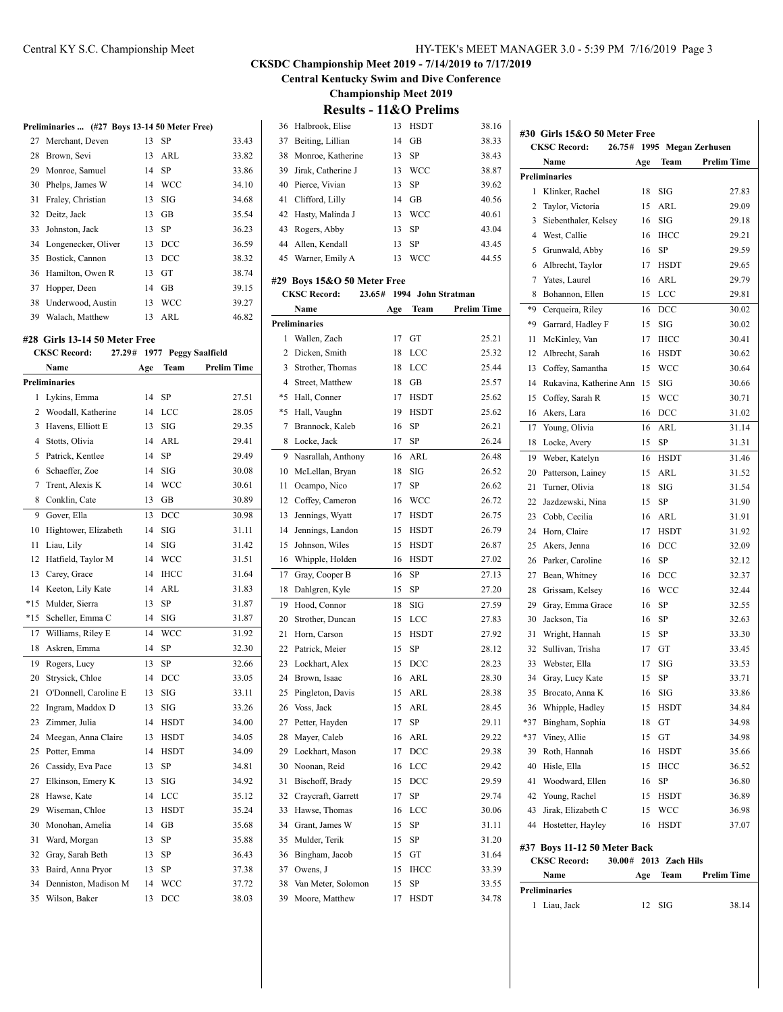**Central Kentucky Swim and Dive Conference**

**Championship Meet 2019**

|    | Name                                          | Age | Team                        | <b>Prelim Time</b> |   |
|----|-----------------------------------------------|-----|-----------------------------|--------------------|---|
|    | CKSC Record:                                  |     | 27.29# 1977 Peggy Saalfield |                    |   |
|    | #28 Girls 13-14 50 Meter Free                 |     |                             |                    |   |
| 39 | Walach, Matthew                               | 13  | ARL                         | 46.82              | P |
|    | 38 Underwood, Austin                          | 13  | <b>WCC</b>                  | 39.27              |   |
| 37 | Hopper, Deen                                  | 14  | <b>GB</b>                   | 39.15              |   |
| 36 | Hamilton, Owen R                              | 13  | GT                          | 38.74              | # |
| 35 | Bostick, Cannon                               | 13  | DCC                         | 38.32              |   |
| 34 | Longenecker, Oliver                           | 13  | DCC                         | 36.59              |   |
| 33 | Johnston, Jack                                | 13  | SP                          | 36.23              |   |
| 32 | Deitz, Jack                                   | 13  | GB                          | 35.54              |   |
| 31 | Fraley, Christian                             | 13  | SIG                         | 34.68              |   |
| 30 | Phelps, James W                               | 14  | <b>WCC</b>                  | 34.10              |   |
| 29 | Monroe, Samuel                                | 14  | SP                          | 33.86              |   |
| 28 | Brown, Sevi                                   | 13  | ARL                         | 33.82              |   |
| 27 | Merchant, Deven                               | 13  | SP                          | 33.43              |   |
|    | Preliminaries  (#27 Boys 13-14 50 Meter Free) |     |                             |                    |   |

|                | Preliminaries         |    |             |       |
|----------------|-----------------------|----|-------------|-------|
| 1              | Lykins, Emma          | 14 | SP          | 27.51 |
| $\overline{c}$ | Woodall, Katherine    | 14 | LCC         | 28.05 |
| 3              | Havens, Elliott E     | 13 | SIG         | 29.35 |
| $\overline{4}$ | Stotts, Olivia        | 14 | ARL         | 29.41 |
| 5              | Patrick, Kentlee      | 14 | SP          | 29.49 |
| 6              | Schaeffer, Zoe        | 14 | SIG         | 30.08 |
| $\overline{7}$ | Trent, Alexis K       | 14 | <b>WCC</b>  | 30.61 |
| 8              | Conklin, Cate         | 13 | GB          | 30.89 |
| 9              | Gover, Ella           | 13 | DCC         | 30.98 |
| 10             | Hightower, Elizabeth  | 14 | SIG         | 31.11 |
| 11             | Liau, Lily            | 14 | SIG         | 31.42 |
| 12             | Hatfield, Taylor M    | 14 | <b>WCC</b>  | 31.51 |
| 13             | Carey, Grace          | 14 | <b>IHCC</b> | 31.64 |
| 14             | Keeton, Lily Kate     | 14 | ARL         | 31.83 |
| $*15$          | Mulder, Sierra        | 13 | SP          | 31.87 |
| $*15$          | Scheller, Emma C      | 14 | SIG         | 31.87 |
| 17             | Williams, Riley E     | 14 | <b>WCC</b>  | 31.92 |
| 18             | Askren, Emma          | 14 | SP          | 32.30 |
| 19             | Rogers, Lucy          | 13 | SP          | 32.66 |
| 20             | Strysick, Chloe       | 14 | DCC         | 33.05 |
| 21             | O'Donnell, Caroline E | 13 | SIG         | 33.11 |
| 22             | Ingram, Maddox D      | 13 | SIG         | 33.26 |
| 23             | Zimmer, Julia         | 14 | HSDT        | 34.00 |
| 24             | Meegan, Anna Claire   | 13 | <b>HSDT</b> | 34.05 |
| 25             | Potter, Emma          | 14 | <b>HSDT</b> | 34.09 |
| 26             | Cassidy, Eva Pace     | 13 | SP          | 34.81 |
| 27             | Elkinson, Emery K     | 13 | SIG         | 34.92 |
| 28             | Hawse, Kate           | 14 | LCC         | 35.12 |
| 29             | Wiseman, Chloe        | 13 | HSDT        | 35.24 |
| 30             | Monohan, Amelia       | 14 | <b>GB</b>   | 35.68 |
| 31             | Ward, Morgan          | 13 | SP          | 35.88 |
| 32             | Gray, Sarah Beth      | 13 | SP          | 36.43 |
| 33             | Baird, Anna Pryor     | 13 | SP          | 37.38 |
| 34             | Denniston, Madison M  | 14 | WCC         | 37.72 |
| 35             | Wilson, Baker         | 13 | DCC         | 38.03 |

| 36             | Halbrook, Elise             | 13     | <b>HSDT</b> | 38.16              |
|----------------|-----------------------------|--------|-------------|--------------------|
| 37             | Beiting, Lillian            | 14     | GB          | 38.33              |
| 38             | Monroe, Katherine           | 13     | SP          | 38.43              |
| 39             | Jirak, Catherine J          | 13     | <b>WCC</b>  | 38.87              |
| 40             | Pierce, Vivian              | 13     | SP          | 39.62              |
| 41             | Clifford, Lilly             | 14     | GB          | 40.56              |
| 42             | Hasty, Malinda J            | 13     | <b>WCC</b>  | 40.61              |
| 43             | Rogers, Abby                | 13     | SP          | 43.04              |
| 44             | Allen, Kendall              | 13     | SP          | 43.45              |
| 45             | Warner, Emily A             | 13     | <b>WCC</b>  | 44.55              |
|                |                             |        |             |                    |
|                | #29 Boys 15&O 50 Meter Free |        |             |                    |
|                | <b>CKSC Record:</b>         | 23.65# |             | 1994 John Stratman |
|                | Name                        | Age    | Team        | <b>Prelim Time</b> |
|                | <b>Preliminaries</b>        |        |             |                    |
| 1              | Wallen, Zach                | 17     | GT          | 25.21              |
| 2              | Dicken, Smith               | 18     | LCC         | 25.32              |
| 3              | Strother, Thomas            | 18     | LCC         | 25.44              |
| $\overline{4}$ | Street, Matthew             | 18     | GB          | 25.57              |
| *5             | Hall, Conner                | 17     | <b>HSDT</b> | 25.62              |
| $*5$           | Hall, Vaughn                | 19     | <b>HSDT</b> | 25.62              |
| 7              | Brannock, Kaleb             | 16     | SP          | 26.21              |
| 8              | Locke, Jack                 | 17     | SP          | 26.24              |
| 9              | Nasrallah, Anthony          | 16     | ARL         | 26.48              |
| 10             | McLellan, Bryan             | 18     | SIG         | 26.52              |
| 11             | Ocampo, Nico                | 17     | <b>SP</b>   | 26.62              |
| 12             | Coffey, Cameron             | 16     | WCC         | 26.72              |
| 13             | Jennings, Wyatt             | 17     | <b>HSDT</b> | 26.75              |
| 14             | Jennings, Landon            | 15     | <b>HSDT</b> | 26.79              |
| 15             | Johnson, Wiles              | 15     | <b>HSDT</b> | 26.87              |
| 16             | Whipple, Holden             | 16     | <b>HSDT</b> | 27.02              |
| 17             | Gray, Cooper B              | 16     | SP          | 27.13              |
| 18             | Dahlgren, Kyle              | 15     | SP          | 27.20              |
| 19             | Hood, Connor                | 18     | SIG         | 27.59              |
| 20             | Strother, Duncan            | 15     | LCC         | 27.83              |
| 21             | Horn, Carson                | 15     | <b>HSDT</b> | 27.92              |
| 22             | Patrick, Meier              | 15     | <b>SP</b>   | 28.12              |
| 23             | Lockhart, Alex              | 15     | DCC         | 28.23              |
| 24             | Brown, Isaac                | 16     | ARL         | 28.30              |
| 25             | Pingleton, Davis            | 15     | ARL         | 28.38              |
| 26             | Voss, Jack                  | 15     | ARL         | 28.45              |
| 27             | Petter, Hayden              | 17     | SP          | 29.11              |
| 28             | Mayer, Caleb                | 16     | ARL         | 29.22              |
| 29             | Lockhart, Mason             | 17     | DCC         | 29.38              |
| 30             | Noonan, Reid                | 16     | LCC         | 29.42              |
| 31             | Bischoff, Brady             | 15     | DCC         | 29.59              |
| 32             | Craycraft, Garrett          | 17     | SP          | 29.74              |
| 33             | Hawse, Thomas               | 16     | LCC         | 30.06              |
| 34             | Grant, James W              | 15     | SP          | 31.11              |
| 35             | Mulder, Terik               | 15     | SP          | 31.20              |
| 36             | Bingham, Jacob              | 15     | GT          | 31.64              |
| 37             | Owens, J                    | 15     | IHCC        | 33.39              |
| 38             | Van Meter, Solomon          | 15     | SP          | 33.55              |
| 39             | Moore, Matthew              | 17     | HSDT        | 34.78              |
|                |                             |        |             |                    |

|       | <b>CKSC Record:</b><br>26.75#                                 | 1995 |              | <b>Megan Zerhusen</b> |
|-------|---------------------------------------------------------------|------|--------------|-----------------------|
|       | Name                                                          | Age  | Team         | <b>Prelim Time</b>    |
|       | <b>Preliminaries</b>                                          |      |              |                       |
| 1     | Klinker, Rachel                                               | 18   | SIG          | 27.83                 |
| 2     | Taylor, Victoria                                              | 15   | ARL          | 29.09                 |
| 3     | Siebenthaler, Kelsey                                          | 16   | <b>SIG</b>   | 29.18                 |
|       | 4 West, Callie                                                | 16   | <b>IHCC</b>  | 29.21                 |
| 5     | Grunwald, Abby                                                | 16   | SP           | 29.59                 |
| 6     | Albrecht, Taylor                                              | 17   | <b>HSDT</b>  | 29.65                 |
| 7     | Yates, Laurel                                                 | 16   | ARL          | 29.79                 |
| 8     | Bohannon, Ellen                                               | 15   | <b>LCC</b>   | 29.81                 |
| *9    | Cerqueira, Riley                                              | 16   | <b>DCC</b>   | 30.02                 |
| *9    | Garrard, Hadley F                                             | 15   | SIG          | 30.02                 |
| 11    | McKinley, Van                                                 | 17   | <b>IHCC</b>  | 30.41                 |
| 12    | Albrecht, Sarah                                               | 16   | <b>HSDT</b>  | 30.62                 |
| 13    | Coffey, Samantha                                              | 15   | WCC          | 30.64                 |
| 14    | Rukavina, Katherine Ann                                       | 15   | SIG          | 30.66                 |
| 15    | Coffey, Sarah R                                               | 15   | WCC          | 30.71                 |
| 16    | Akers, Lara                                                   | 16   | $_{\rm DCC}$ | 31.02                 |
| 17    | Young, Olivia                                                 | 16   | ARL          | 31.14                 |
| 18    | Locke, Avery                                                  | 15   | <b>SP</b>    | 31.31                 |
| 19    | Weber, Katelyn                                                | 16   | <b>HSDT</b>  | 31.46                 |
| 20    | Patterson, Lainey                                             | 15   | ARL          | 31.52                 |
| 21    | Turner, Olivia                                                | 18   | SIG          | 31.54                 |
| 22    | Jazdzewski, Nina                                              | 15   | SP           | 31.90                 |
| 23    | Cobb, Cecilia                                                 | 16   | ARL          | 31.91                 |
| 24    | Horn, Claire                                                  | 17   | <b>HSDT</b>  | 31.92                 |
| 25    | Akers, Jenna                                                  | 16   | DCC          | 32.09                 |
| 26    | Parker, Caroline                                              | 16   | SP           | 32.12                 |
| 27    | Bean, Whitney                                                 | 16   | DCC          | 32.37                 |
| 28    | Grissam, Kelsey                                               | 16   | WCC          | 32.44                 |
| 29    | Gray, Emma Grace                                              | 16   | SP           | 32.55                 |
| 30    | Jackson, Tia                                                  | 16   | SP           | 32.63                 |
| 31    | Wright, Hannah                                                | 15   | SP           | 33.30                 |
| 32    | Sullivan, Trisha                                              | 17   | GT           | 33.45                 |
| 33    | Webster, Ella                                                 | 17   | SIG          | 33.53                 |
| 34    | Gray, Lucy Kate                                               | 15   | SP           | 33.71                 |
| 35    | Brocato, Anna K                                               | 16   | SIG          | 33.86                 |
| 36    | Whipple, Hadley                                               | 15   | HSDT         | 34.84                 |
| $*37$ | Bingham, Sophia                                               | 18   | GT           | 34.98                 |
| $*37$ | Viney, Allie                                                  | 15   | GT           | 34.98                 |
| 39    | Roth, Hannah                                                  | 16   | HSDT         | 35.66                 |
| 40    | Hisle, Ella                                                   | 15   | <b>IHCC</b>  | 36.52                 |
| 41    | Woodward, Ellen                                               | 16   | SP           | 36.80                 |
| 42    | Young, Rachel                                                 | 15   | HSDT         | 36.89                 |
| 43    | Jirak, Elizabeth C                                            | 15   | WCC          | 36.98                 |
| 44    | Hostetter, Hayley                                             | 16   | HSDT         | 37.07                 |
|       |                                                               |      |              |                       |
|       | #37 Boys 11-12 50 Meter Back<br><b>CKSC Record:</b><br>30.00# | 2013 | Zach Hils    |                       |
|       | Name                                                          |      |              | <b>Prelim Time</b>    |
|       |                                                               | Age  | Team         |                       |
| 1     | <b>Preliminaries</b><br>Liau, Jack                            | 12   | SIG          | 38.14                 |
|       |                                                               |      |              |                       |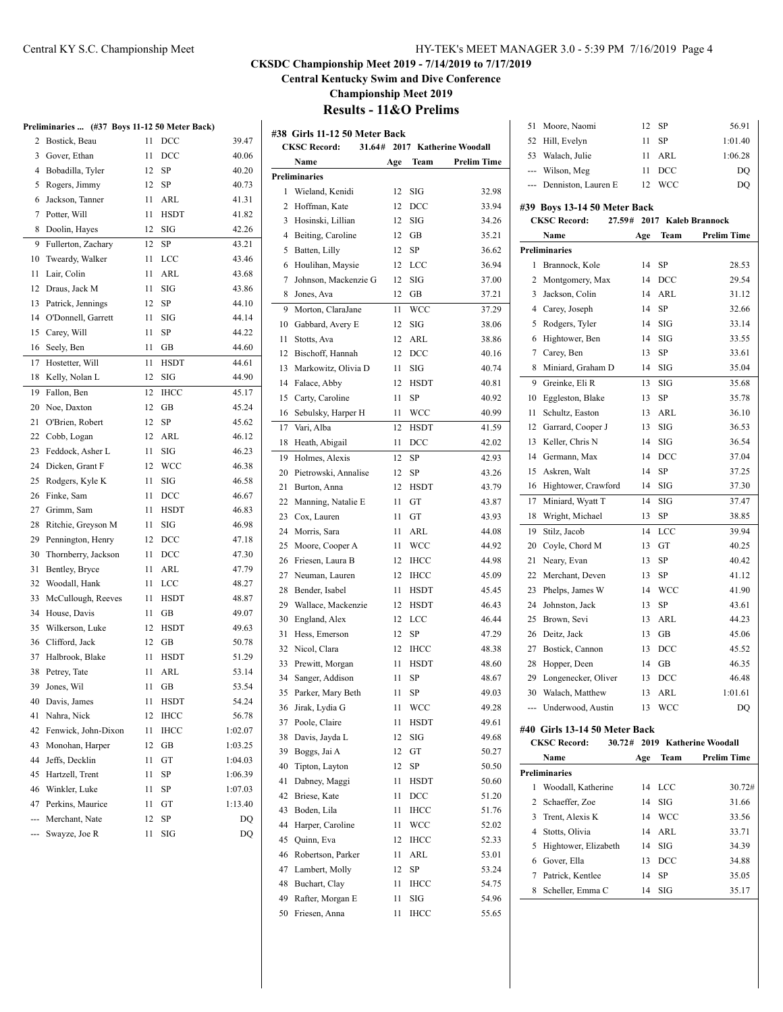#### Central KY S.C. Championship Meet HY-TEK's MEET MANAGER 3.0 - 5:39 PM 7/16/2019 Page 4

### **CKSDC Championship Meet 2019 - 7/14/2019 to 7/17/2019**

**Central Kentucky Swim and Dive Conference**

**Championship Meet 2019**

## **Results - 11&O Prelims**

#### **Preliminaries ... (#37 Boys 11-12 50 Meter Back)**

|     |                     |    | $(mo)$ boys 11-12 so meter back) |         |
|-----|---------------------|----|----------------------------------|---------|
| 2   | Bostick, Beau       | 11 | $_{\text{DCC}}$                  | 39.47   |
| 3   | Gover, Ethan        | 11 | $_{\text{DCC}}$                  | 40.06   |
| 4   | Bobadilla, Tyler    | 12 | SP                               | 40.20   |
| 5   | Rogers, Jimmy       | 12 | SP                               | 40.73   |
| 6   | Jackson, Tanner     | 11 | ARL                              | 41.31   |
| 7   | Potter, Will        | 11 | <b>HSDT</b>                      | 41.82   |
| 8   | Doolin, Hayes       | 12 | SIG                              | 42.26   |
| 9   | Fullerton, Zachary  | 12 | SP                               | 43.21   |
| 10  | Tweardy, Walker     | 11 | LCC                              | 43.46   |
| 11  | Lair, Colin         | 11 | <b>ARL</b>                       | 43.68   |
| 12  | Draus, Jack M       | 11 | SIG                              | 43.86   |
| 13  | Patrick, Jennings   | 12 | SP                               | 44.10   |
| 14  | O'Donnell, Garrett  | 11 | SIG                              | 44.14   |
| 15  | Carey, Will         | 11 | SP                               | 44.22   |
| 16  | Seely, Ben          | 11 | GВ                               | 44.60   |
| 17  | Hostetter, Will     | 11 | <b>HSDT</b>                      | 44.61   |
| 18  | Kelly, Nolan L      | 12 | SIG                              | 44.90   |
| 19  | Fallon, Ben         | 12 | <b>IHCC</b>                      | 45.17   |
| 20  | Noe, Daxton         | 12 | GB                               | 45.24   |
| 21  | O'Brien, Robert     | 12 | SP                               | 45.62   |
| 22  | Cobb, Logan         | 12 | ARL                              | 46.12   |
| 23  | Feddock, Asher L    | 11 | SIG                              | 46.23   |
| 24  | Dicken, Grant F     | 12 | WCC                              | 46.38   |
| 25  | Rodgers, Kyle K     | 11 | <b>SIG</b>                       | 46.58   |
| 26  | Finke, Sam          | 11 | DCC                              | 46.67   |
| 27  | Grimm, Sam          | 11 | HSDT                             | 46.83   |
| 28  | Ritchie, Greyson M  | 11 | SIG                              | 46.98   |
| 29  | Pennington, Henry   | 12 | $_{\text{DCC}}$                  | 47.18   |
| 30  | Thornberry, Jackson | 11 | DCC                              | 47.30   |
| 31  | Bentley, Bryce      | 11 | ARL                              | 47.79   |
| 32  | Woodall, Hank       | 11 | LCC                              | 48.27   |
| 33  | McCullough, Reeves  | 11 | HSDT                             | 48.87   |
| 34  | House, Davis        | 11 | GВ                               | 49.07   |
| 35  | Wilkerson, Luke     | 12 | <b>HSDT</b>                      | 49.63   |
| 36  | Clifford, Jack      | 12 | GB                               | 50.78   |
| 37  | Halbrook, Blake     | 11 | <b>HSDT</b>                      | 51.29   |
| 38  | Petrey, Tate        | 11 | ARL                              | 53.14   |
| 39  | Jones, Wil          | 11 | GB                               | 53.54   |
|     | 40 Davis, James     |    | 11 HSDT                          | 54.24   |
| 41  | Nahra, Nick         | 12 | IHCC                             | 56.78   |
| 42  | Fenwick, John-Dixon | 11 | <b>IHCC</b>                      | 1:02.07 |
| 43  | Monohan, Harper     | 12 | GВ                               | 1:03.25 |
| 44  | Jeffs, Decklin      | 11 | GT                               | 1:04.03 |
| 45  | Hartzell, Trent     | 11 | SP                               | 1:06.39 |
| 46  | Winkler, Luke       | 11 | SP                               | 1:07.03 |
| 47  | Perkins, Maurice    | 11 | GT                               | 1:13.40 |
| --- | Merchant, Nate      | 12 | SP                               | DQ      |
| --- | Swayze, Joe R       | 11 | SIG                              | DQ      |
|     |                     |    |                                  |         |

|    | #38 Girls 11-12 50 Meter Back |     |             |                        |
|----|-------------------------------|-----|-------------|------------------------|
|    | <b>CKSC Record:</b><br>31.64# |     |             | 2017 Katherine Woodall |
|    | Name                          | Age | Team        | Prelim Time            |
|    | <b>Preliminaries</b>          |     |             |                        |
| 1  | Wieland, Kenidi               | 12  | SIG         | 32.98                  |
| 2  | Hoffman, Kate                 | 12  | DCC         | 33.94                  |
| 3  | Hosinski, Lillian             | 12  | SIG         | 34.26                  |
| 4  | Beiting, Caroline             | 12  | GB          | 35.21                  |
| 5  | Batten, Lilly                 | 12  | <b>SP</b>   | 36.62                  |
| 6  | Houlihan, Maysie              | 12  | LCC         | 36.94                  |
| 7  | Johnson, Mackenzie G          | 12  | SIG         | 37.00                  |
| 8  | Jones, Ava                    | 12  | GB          | 37.21                  |
| 9  | Morton, ClaraJane             | 11  | WCC         | 37.29                  |
| 10 | Gabbard, Avery E              | 12  | SIG         | 38.06                  |
| 11 | Stotts, Ava                   | 12  | ARL         | 38.86                  |
| 12 | Bischoff, Hannah              | 12  | DCC         | 40.16                  |
| 13 | Markowitz, Olivia D           | 11  | SIG         | 40.74                  |
| 14 | Falace, Abby                  | 12  | <b>HSDT</b> | 40.81                  |
| 15 | Carty, Caroline               | 11  | SP          | 40.92                  |
| 16 | Sebulsky, Harper H            | 11  | WCC         | 40.99                  |
| 17 | Vari, Alba                    | 12  | <b>HSDT</b> | 41.59                  |
| 18 | Heath, Abigail                | 11  | DCC         | 42.02                  |
| 19 | Holmes, Alexis                | 12  | SP          | 42.93                  |
| 20 | Pietrowski, Annalise          | 12  | SP          | 43.26                  |
| 21 | Burton, Anna                  | 12  | <b>HSDT</b> | 43.79                  |
| 22 | Manning, Natalie E            | 11  | GT          | 43.87                  |
| 23 | Cox, Lauren                   | 11  | GT          | 43.93                  |
| 24 |                               | 11  |             |                        |
|    | Morris, Sara                  |     | ARL         | 44.08                  |
| 25 | Moore, Cooper A               | 11  | <b>WCC</b>  | 44.92                  |
| 26 | Friesen, Laura B              | 12  | <b>IHCC</b> | 44.98                  |
| 27 | Neuman, Lauren                | 12  | <b>IHCC</b> | 45.09                  |
| 28 | Bender, Isabel                | 11  | <b>HSDT</b> | 45.45                  |
| 29 | Wallace, Mackenzie            | 12  | <b>HSDT</b> | 46.43                  |
| 30 | England, Alex                 | 12  | LCC         | 46.44                  |
| 31 | Hess, Emerson                 | 12  | <b>SP</b>   | 47.29                  |
| 32 | Nicol, Clara                  | 12  | <b>IHCC</b> | 48.38                  |
| 33 | Prewitt, Morgan               | 11  | HSDT        | 48.60                  |
| 34 | Sanger, Addison               | 11  | SP          | 48.67                  |
| 35 | Parker, Mary Beth             | 11  | SP          | 49.03                  |
| 36 | Jirak, Lydia G                | 11  | WCC         | 49.28                  |
| 37 | Poole, Claire                 | 11  | HSDT        | 49.61                  |
| 38 | Davis, Jayda L                | 12  | SIG         | 49.68                  |
| 39 | Boggs, Jai A                  | 12  | GT          | 50.27                  |
| 40 | Tipton, Layton                | 12  | SP          | 50.50                  |
| 41 | Dabney, Maggi                 | 11  | HSDT        | 50.60                  |
| 42 | Briese, Kate                  | 11  | DCC         | 51.20                  |
| 43 | Boden, Lila                   | 11  | IHCC        | 51.76                  |
| 44 | Harper, Caroline              | 11  | WCC         | 52.02                  |
| 45 | Quinn, Eva                    | 12  | IHCC        | 52.33                  |
| 46 | Robertson, Parker             | 11  | ARL         | 53.01                  |
| 47 | Lambert, Molly                | 12  | SP          | 53.24                  |
| 48 | Buchart, Clay                 | 11  | IHCC        | 54.75                  |
| 49 | Rafter, Morgan E              | 11  | SIG         | 54.96                  |
| 50 | Friesen, Anna                 | 11  | <b>IHCC</b> | 55.65                  |

| 51 Moore, Naomi         | 12 SP            | 56.91   |
|-------------------------|------------------|---------|
| 52 Hill, Evelyn         | $11$ SP          | 1:01.40 |
| 53 Walach, Julie        | $11$ ARL         | 1:06.28 |
| --- Wilson, Meg         | $11$ DCC         | DO      |
| --- Denniston, Lauren E | <b>WCC</b><br>12 | DO      |

#### **#39 Boys 13-14 50 Meter Back**

|     | <b>CKSC Record:</b>           | 27.59# |     |        | 2017 Kaleb Brannock    |
|-----|-------------------------------|--------|-----|--------|------------------------|
|     | Name                          |        | Age | Team   | <b>Prelim Time</b>     |
|     | <b>Preliminaries</b>          |        |     |        |                        |
| 1   | Brannock, Kole                |        | 14  | SP     | 28.53                  |
| 2   | Montgomery, Max               |        | 14  | DCC    | 29.54                  |
| 3   | Jackson, Colin                |        | 14  | ARL    | 31.12                  |
| 4   | Carey, Joseph                 |        | 14  | SP     | 32.66                  |
| 5   | Rodgers, Tyler                |        | 14  | SIG    | 33.14                  |
| 6   | Hightower, Ben                |        | 14  | SIG    | 33.55                  |
| 7   | Carey, Ben                    |        | 13  | SP     | 33.61                  |
| 8   | Miniard, Graham D             |        | 14  | SIG    | 35.04                  |
| 9   | Greinke, Eli R                |        | 13  | SIG    | 35.68                  |
| 10  | Eggleston, Blake              |        | 13  | SP     | 35.78                  |
| 11  | Schultz, Easton               |        | 13  | ARL    | 36.10                  |
| 12  | Garrard, Cooper J             |        | 13  | SIG    | 36.53                  |
| 13  | Keller, Chris N               |        | 14  | SIG    | 36.54                  |
| 14  | Germann, Max                  |        | 14  | DCC    | 37.04                  |
| 15  | Askren, Walt                  |        | 14  | SP     | 37.25                  |
| 16  | Hightower, Crawford           |        | 14  | SIG    | 37.30                  |
| 17  | Miniard, Wyatt T              |        | 14  | SIG    | 37.47                  |
| 18  | Wright, Michael               |        | 13  | SP     | 38.85                  |
| 19  | Stilz, Jacob                  |        | 14  | LCC    | 39.94                  |
| 20  | Coyle, Chord M                |        | 13  | GT     | 40.25                  |
| 21  | Neary, Evan                   |        | 13  | SP     | 40.42                  |
| 22  | Merchant, Deven               |        | 13  | SP     | 41.12                  |
| 23  | Phelps, James W               |        | 14  | WCC    | 41.90                  |
| 24  | Johnston, Jack                |        | 13  | SP     | 43.61                  |
| 25  | Brown, Sevi                   |        | 13  | ARL    | 44.23                  |
| 26  | Deitz, Jack                   |        | 13  | GB     | 45.06                  |
| 27  | Bostick, Cannon               |        | 13  | DCC    | 45.52                  |
| 28  | Hopper, Deen                  |        | 14  | GB     | 46.35                  |
| 29  | Longenecker, Oliver           |        | 13  | DCC    | 46.48                  |
| 30  | Walach, Matthew               |        | 13  | ARL    | 1:01.61                |
| --- | Underwood, Austin             |        | 13  | WCC    | DQ                     |
|     | #40 Girls 13-14 50 Meter Back |        |     |        |                        |
|     | <b>CKSC Record:</b>           | 30.72# |     |        | 2019 Katherine Woodall |
|     | Name                          |        | Age | Team   | <b>Prelim Time</b>     |
|     | <b>Preliminaries</b>          |        |     |        |                        |
|     | 1 Woodall, Katherine          |        |     | 14 LCC | 30.72#                 |
| 2   | Schaeffer, Zoe                |        | 14  | SIG    | 31.66                  |
| 3   | Trent, Alexis K               |        | 14  | WCC    | 33.56                  |
| 4   | Stotts, Olivia                |        | 14  | ARL    | 33.71                  |
| 5   | Hightower, Elizabeth          |        | 14  | SIG    | 34.39                  |
| 6   | Gover, Ella                   |        | 13  | DCC    | 34.88                  |
| 7   | Patrick, Kentlee              |        | 14  | SP     | 35.05                  |
| 8   | Scheller, Emma C              |        | 14  | SIG    | 35.17                  |
|     |                               |        |     |        |                        |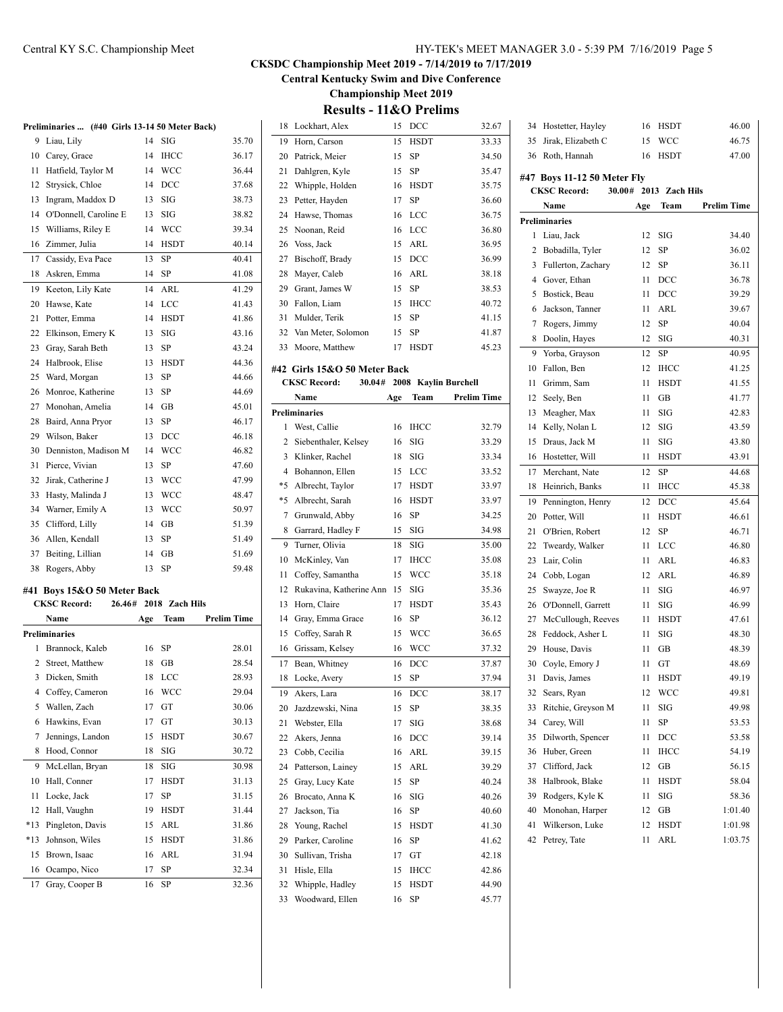#### Central KY S.C. Championship Meet HY-TEK's MEET MANAGER 3.0 - 5:39 PM 7/16/2019 Page 5

#### **CKSDC Championship Meet 2019 - 7/14/2019 to 7/17/2019**

**Central Kentucky Swim and Dive Conference**

**Championship Meet 2019**

| <b>Results - 11&amp;O Prelims</b> |  |  |
|-----------------------------------|--|--|
|-----------------------------------|--|--|

|       | Preliminaries  (#40 Girls 13-14 50 Meter Back) |     |                |                    |
|-------|------------------------------------------------|-----|----------------|--------------------|
| 9     | Liau, Lily                                     | 14  | SIG            | 35.70              |
| 10    | Carey, Grace                                   | 14  | <b>IHCC</b>    | 36.17              |
| 11    | Hatfield, Taylor M                             | 14  | <b>WCC</b>     | 36.44              |
| 12    | Strysick, Chloe                                | 14  | DCC            | 37.68              |
| 13    | Ingram, Maddox D                               | 13  | SIG            | 38.73              |
| 14    | O'Donnell, Caroline E                          | 13  | SIG            | 38.82              |
| 15    | Williams, Riley E                              | 14  | <b>WCC</b>     | 39.34              |
| 16    | Zimmer, Julia                                  | 14  | HSDT           | 40.14              |
| 17    | Cassidy, Eva Pace                              | 13  | SP             | 40.41              |
| 18    | Askren, Emma                                   | 14  | SP             | 41.08              |
| 19    | Keeton, Lily Kate                              | 14  | ARL            | 41.29              |
| 20    | Hawse, Kate                                    | 14  | <b>LCC</b>     | 41.43              |
| 21    | Potter, Emma                                   | 14  | HSDT           | 41.86              |
| 22    | Elkinson, Emery K                              | 13  | SIG            | 43.16              |
| 23    | Gray, Sarah Beth                               | 13  | <b>SP</b>      | 43.24              |
| 24    | Halbrook, Elise                                | 13  | HSDT           | 44.36              |
| 25    | Ward, Morgan                                   | 13  | SP             | 44.66              |
| 26    | Monroe, Katherine                              | 13  | SP             | 44.69              |
| 27    | Monohan, Amelia                                | 14  | GB             | 45.01              |
| 28    | Baird, Anna Pryor                              | 13  | SP             | 46.17              |
| 29    | Wilson, Baker                                  | 13  | DCC            | 46.18              |
| 30    | Denniston, Madison M                           | 14  | <b>WCC</b>     | 46.82              |
| 31    | Pierce, Vivian                                 | 13  | SP             | 47.60              |
| 32    | Jirak, Catherine J                             | 13  | <b>WCC</b>     | 47.99              |
| 33    | Hasty, Malinda J                               | 13  | WCC            | 48.47              |
| 34    | Warner, Emily A                                | 13  | <b>WCC</b>     | 50.97              |
| 35    | Clifford, Lilly                                | 14  | GB             | 51.39              |
| 36    | Allen, Kendall                                 | 13  | SP             | 51.49              |
| 37    | Beiting, Lillian                               | 14  | GB             | 51.69              |
| 38    | Rogers, Abby                                   | 13  | SP             | 59.48              |
|       |                                                |     |                |                    |
|       | #41 Boys 15&O 50 Meter Back                    |     |                |                    |
|       | <b>CKSC Record:</b><br>26.46#                  |     | 2018 Zach Hils |                    |
|       | Name                                           | Age | Team           | <b>Prelim Time</b> |
|       | Preliminaries                                  |     |                |                    |
| 1     | Brannock, Kaleb                                | 16  | SP             | 28.01              |
| 2     | Street, Matthew                                | 18  | GB             | 28.54              |
| 3     | Dicken, Smith                                  | 18  | LCC            | 28.93              |
|       | 4 Coffey, Cameron                              | 16  | <b>WCC</b>     | 29.04              |
| 5     | Wallen, Zach                                   | 17  | GT             | 30.06              |
| 6     | Hawkins, Evan                                  | 17  | GT             | 30.13              |
| 7     | Jennings, Landon                               | 15  | HSDT           | 30.67              |
| 8     | Hood, Connor                                   | 18  | SIG            | 30.72              |
| 9     | McLellan, Bryan                                | 18  | $_{\rm SIG}$   | 30.98              |
| 10    | Hall, Conner                                   | 17  | HSDT           | 31.13              |
| 11    | Locke, Jack                                    | 17  | SP             | 31.15              |
| 12    | Hall, Vaughn                                   | 19  | <b>HSDT</b>    | 31.44              |
| $*13$ | Pingleton, Davis                               | 15  | ARL            | 31.86              |
| $*13$ | Johnson, Wiles                                 | 15  | <b>HSDT</b>    | 31.86              |
|       |                                                |     |                |                    |
| 15    | Brown, Isaac                                   | 16  | <b>ARL</b>     | 31.94              |
| 16    | Ocampo, Nico                                   | 17  | SP             | 32.34              |
| 17    | Gray, Cooper B                                 | 16  | SP             | 32.36              |

| 18             | Lockhart, Alex               | 15     | DCC          | 32.67                |
|----------------|------------------------------|--------|--------------|----------------------|
| 19             | Horn, Carson                 | 15     | <b>HSDT</b>  | 33.33                |
| 20             | Patrick, Meier               | 15     | <b>SP</b>    | 34.50                |
| 21             | Dahlgren, Kyle               | 15     | SP           | 35.47                |
| 22             | Whipple, Holden              | 16     | <b>HSDT</b>  | 35.75                |
| 23             | Petter, Hayden               | 17     | <b>SP</b>    | 36.60                |
| 24             | Hawse, Thomas                | 16     | LCC          | 36.75                |
| 25             | Noonan, Reid                 | 16     | LCC          | 36.80                |
| 26             | Voss, Jack                   | 15     | ARL          | 36.95                |
| 27             | Bischoff, Brady              | 15     | DCC          | 36.99                |
| 28             | Mayer, Caleb                 | 16     | ARL          | 38.18                |
| 29             | Grant, James W               | 15     | SP           | 38.53                |
|                | 30 Fallon, Liam              | 15     | <b>IHCC</b>  | 40.72                |
|                | 31 Mulder, Terik             | 15     | <b>SP</b>    | 41.15                |
|                | 32 Van Meter, Solomon        | 15     | SP           | 41.87                |
|                | 33 Moore, Matthew            | 17     | <b>HSDT</b>  | 45.23                |
|                |                              |        |              |                      |
|                | #42 Girls 15&O 50 Meter Back |        |              |                      |
|                | <b>CKSC Record:</b>          | 30.04# |              | 2008 Kaylin Burchell |
|                | Name                         | Age    | <b>Team</b>  | Prelim Time          |
|                | <b>Preliminaries</b>         |        |              |                      |
| 1              | West, Callie                 | 16     | <b>IHCC</b>  | 32.79                |
| $\overline{2}$ | Siebenthaler, Kelsey         | 16     | SIG          | 33.29                |
|                | 3 Klinker, Rachel            | 18     | SIG          | 33.34                |
|                | 4 Bohannon, Ellen            | 15     | LCC          | 33.52                |
| *5             | Albrecht, Taylor             | 17     | <b>HSDT</b>  | 33.97                |
|                | *5 Albrecht, Sarah           | 16     | <b>HSDT</b>  | 33.97                |
| 7              | Grunwald, Abby               | 16     | SP           | 34.25                |
|                | 8 Garrard, Hadley F          | 15     | SIG          | 34.98                |
| 9              | Turner, Olivia               | 18     | SIG          | 35.00                |
| 10             | McKinley, Van                | 17     | <b>IHCC</b>  | 35.08                |
| 11             | Coffey, Samantha             | 15     | <b>WCC</b>   | 35.18                |
| 12             | Rukavina, Katherine Ann 15   |        | SIG          | 35.36                |
| 13             | Horn, Claire                 | 17     | <b>HSDT</b>  | 35.43                |
| 14             | Gray, Emma Grace             | 16     | SP           | 36.12                |
| 15             | Coffey, Sarah R              | 15     | <b>WCC</b>   | 36.65                |
| 16             | Grissam, Kelsey              | 16     | <b>WCC</b>   | 37.32                |
| 17             | Bean, Whitney                | 16     | DCC          | 37.87                |
| 18             | Locke, Avery                 | 15     | <b>SP</b>    | 37.94                |
| 19             | Akers, Lara                  | 16     | $_{\rm DCC}$ | 38.17                |
| 20             | Jazdzewski, Nina             | 15     | SP           | 38.35                |
| 21             | Webster, Ella                | 17     | SIG          | 38.68                |
| 22             | Akers, Jenna                 | 16     | DCC          | 39.14                |
| 23             | Cobb, Cecilia                | 16     | ARL          | 39.15                |
| 24             | Patterson, Lainey            | 15     | ARL          | 39.29                |
| 25             | Gray, Lucy Kate              | 15     | SP           | 40.24                |
| 26             | Brocato, Anna K              | 16     | SIG          | 40.26                |
| 27             | Jackson, Tia                 | 16     | SP           | 40.60                |
| 28             | Young, Rachel                | 15     | HSDT         | 41.30                |
| 29             | Parker, Caroline             | 16     | SP           | 41.62                |
| 30             | Sullivan, Trisha             | 17     | GT           | 42.18                |
| 31             | Hisle, Ella                  | 15     | IHCC         | 42.86                |
| 32             | Whipple, Hadley              | 15     | HSDT         | 44.90                |
| 33             | Woodward, Ellen              | 16     | SP           | 45.77                |
|                |                              |        |              |                      |

| 34                                            | Hostetter, Hayley             | 16  | <b>HSDT</b> | 46.00              |  |  |  |  |  |  |
|-----------------------------------------------|-------------------------------|-----|-------------|--------------------|--|--|--|--|--|--|
| 35                                            | Jirak, Elizabeth C            | 15  | WCC         | 46.75              |  |  |  |  |  |  |
| 36                                            | Roth, Hannah                  | 16  | HSDT        | 47.00              |  |  |  |  |  |  |
|                                               |                               |     |             |                    |  |  |  |  |  |  |
| #47 Boys 11-12 50 Meter Fly<br>2013 Zach Hils |                               |     |             |                    |  |  |  |  |  |  |
|                                               | <b>CKSC Record:</b><br>30.00# |     |             |                    |  |  |  |  |  |  |
|                                               | Name                          | Age | Team        | <b>Prelim Time</b> |  |  |  |  |  |  |
|                                               | Preliminaries                 |     |             |                    |  |  |  |  |  |  |
| 1                                             | Liau, Jack                    | 12  | SIG         | 34.40              |  |  |  |  |  |  |
| 2                                             | Bobadilla, Tyler              | 12  | SP          | 36.02              |  |  |  |  |  |  |
| 3                                             | Fullerton, Zachary            | 12  | SP          | 36.11              |  |  |  |  |  |  |
| $\overline{4}$                                | Gover, Ethan                  | 11  | DCC         | 36.78              |  |  |  |  |  |  |
| 5                                             | Bostick, Beau                 | 11  | DCC         | 39.29              |  |  |  |  |  |  |
| 6                                             | Jackson, Tanner               | 11  | ARL         | 39.67              |  |  |  |  |  |  |
| 7                                             | Rogers, Jimmy                 | 12  | SP          | 40.04              |  |  |  |  |  |  |
| 8                                             | Doolin, Hayes                 | 12  | SIG         | 40.31              |  |  |  |  |  |  |
| 9                                             | Yorba, Grayson                | 12  | SP          | 40.95              |  |  |  |  |  |  |
| 10                                            | Fallon, Ben                   | 12  | <b>IHCC</b> | 41.25              |  |  |  |  |  |  |
| 11                                            | Grimm, Sam                    | 11  | <b>HSDT</b> | 41.55              |  |  |  |  |  |  |
| 12                                            | Seely, Ben                    | 11  | GB          | 41.77              |  |  |  |  |  |  |
| 13                                            | Meagher, Max                  | 11  | SIG         | 42.83              |  |  |  |  |  |  |
| 14                                            | Kelly, Nolan L                | 12  | SIG         | 43.59              |  |  |  |  |  |  |
| 15                                            | Draus, Jack M                 | 11  | SIG         | 43.80              |  |  |  |  |  |  |
| 16                                            | Hostetter, Will               | 11  | HSDT        | 43.91              |  |  |  |  |  |  |
| 17                                            | Merchant, Nate                | 12  | SP          | 44.68              |  |  |  |  |  |  |
| 18                                            | Heinrich, Banks               | 11  | <b>IHCC</b> | 45.38              |  |  |  |  |  |  |
| 19                                            | Pennington, Henry             | 12  | DCC         | 45.64              |  |  |  |  |  |  |
| 20                                            | Potter, Will                  | 11  | <b>HSDT</b> | 46.61              |  |  |  |  |  |  |
| 21                                            | O'Brien, Robert               | 12  | SP          | 46.71              |  |  |  |  |  |  |
| 22                                            | Tweardy, Walker               | 11  | LCC         | 46.80              |  |  |  |  |  |  |
| 23                                            | Lair, Colin                   | 11  | ARL         | 46.83              |  |  |  |  |  |  |
| 24                                            | Cobb, Logan                   | 12  | ARL         | 46.89              |  |  |  |  |  |  |
| 25                                            | Swayze, Joe R                 | 11  | SIG         | 46.97              |  |  |  |  |  |  |
| 26                                            | O'Donnell, Garrett            | 11  | SIG         | 46.99              |  |  |  |  |  |  |
| 27                                            | McCullough, Reeves            | 11  | HSDT        | 47.61              |  |  |  |  |  |  |
| 28                                            | Feddock, Asher L              | 11  | <b>SIG</b>  | 48.30              |  |  |  |  |  |  |
| 29                                            | House, Davis                  | 11  | GB          | 48.39              |  |  |  |  |  |  |
| 30                                            | Coyle, Emory J                | 11  | GT          | 48.69              |  |  |  |  |  |  |
| 31                                            | Davis, James                  | 11  | HSDT        | 49.19              |  |  |  |  |  |  |
| 32                                            | Sears, Ryan                   | 12  | WCC         | 49.81              |  |  |  |  |  |  |
| 33                                            | Ritchie, Greyson M            | 11  | SIG         | 49.98              |  |  |  |  |  |  |
| 34                                            | Carey, Will                   | 11  | SP          | 53.53              |  |  |  |  |  |  |
| 35                                            | Dilworth, Spencer             | 11  | DCC         | 53.58              |  |  |  |  |  |  |
| 36                                            | Huber, Green                  | 11  | IHCC        | 54.19              |  |  |  |  |  |  |
| 37                                            | Clifford, Jack                | 12  | GB          | 56.15              |  |  |  |  |  |  |
| 38                                            | Halbrook, Blake               | 11  | HSDT        | 58.04              |  |  |  |  |  |  |
| 39                                            | Rodgers, Kyle K               | 11  | SIG         | 58.36              |  |  |  |  |  |  |
| 40                                            | Monohan, Harper               | 12  | GB          | 1:01.40            |  |  |  |  |  |  |
| 41                                            | Wilkerson, Luke               | 12  | HSDT        | 1:01.98            |  |  |  |  |  |  |
| 42                                            | Petrey, Tate                  | 11  | ARL         | 1:03.75            |  |  |  |  |  |  |
|                                               |                               |     |             |                    |  |  |  |  |  |  |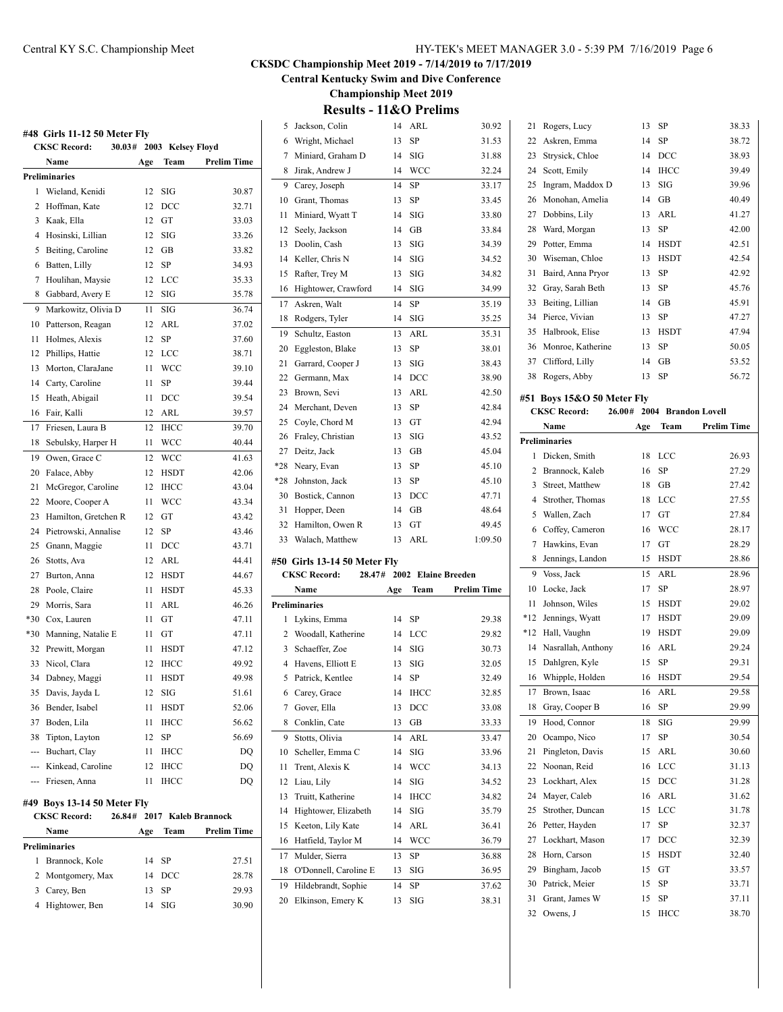**Central Kentucky Swim and Dive Conference**

**Championship Meet 2019**

|       | <b>CKSC Record:</b><br>30.03# |     | 2003 Kelsey Floyd |                     |
|-------|-------------------------------|-----|-------------------|---------------------|
|       | Name                          | Age | Team              | <b>Prelim Time</b>  |
|       | Preliminaries                 |     |                   |                     |
| 1     | Wieland, Kenidi               | 12  | SIG               | 30.87               |
| 2     | Hoffman, Kate                 | 12  | DCC               | 32.71               |
| 3     | Kaak, Ella                    | 12  | GT                | 33.03               |
| 4     | Hosinski, Lillian             | 12  | SIG               | 33.26               |
| 5     | Beiting, Caroline             | 12  | GB                | 33.82               |
| 6     | Batten, Lilly                 | 12  | SP                | 34.93               |
| 7     | Houlihan, Maysie              | 12  | LCC               | 35.33               |
| 8     | Gabbard, Avery E              | 12  | SIG               | 35.78               |
| 9     | Markowitz, Olivia D           | 11  | SIG               | 36.74               |
| 10    | Patterson, Reagan             | 12  | ARL               | 37.02               |
| 11    | Holmes, Alexis                | 12  | SP                | 37.60               |
| 12    | Phillips, Hattie              | 12  | LCC               | 38.71               |
| 13    | Morton, ClaraJane             | 11  | <b>WCC</b>        | 39.10               |
| 14    | Carty, Caroline               | 11  | SP                | 39.44               |
| 15    | Heath, Abigail                | 11  | DCC               | 39.54               |
| 16    | Fair, Kalli                   | 12  | ARL               | 39.57               |
| 17    | Friesen, Laura B              | 12  | <b>IHCC</b>       | 39.70               |
| 18    | Sebulsky, Harper H            | 11  | <b>WCC</b>        | 40.44               |
| 19    | Owen, Grace C                 | 12  | <b>WCC</b>        | 41.63               |
| 20    | Falace, Abby                  | 12  | <b>HSDT</b>       | 42.06               |
| 21    | McGregor, Caroline            | 12  | <b>IHCC</b>       | 43.04               |
| 22    | Moore, Cooper A               | 11  | <b>WCC</b>        | 43.34               |
| 23    | Hamilton, Gretchen R          | 12  | GT                | 43.42               |
| 24    | Pietrowski, Annalise          | 12  | SP                | 43.46               |
| 25    | Gnann, Maggie                 | 11  | DCC               | 43.71               |
| 26    | Stotts, Ava                   | 12  | ARL               | 44.41               |
| 27    | Burton, Anna                  | 12  | HSDT              | 44.67               |
| 28    | Poole, Claire                 | 11  | HSDT              | 45.33               |
| 29    | Morris, Sara                  | 11  | ARL               | 46.26               |
| $*30$ | Cox, Lauren                   | 11  | GT                | 47.11               |
| $*30$ | Manning, Natalie E            | 11  | GT                | 47.11               |
| 32    | Prewitt, Morgan               | 11  | <b>HSDT</b>       | 47.12               |
| 33    | Nicol, Clara                  | 12  | <b>IHCC</b>       | 49.92               |
| 34    | Dabney, Maggi                 | 11  | <b>HSDT</b>       | 49.98               |
|       | 35 Davis, Jayda L             |     | 12 SIG            | 51.61               |
|       | 36 Bender, Isabel             | 11  | HSDT              | 52.06               |
|       | 37 Boden, Lila                | 11  | <b>IHCC</b>       | 56.62               |
| 38    | Tipton, Layton                | 12  | <b>SP</b>         | 56.69               |
|       | --- Buchart, Clay             | 11  | <b>IHCC</b>       | DQ                  |
|       | --- Kinkead, Caroline         | 12  | <b>IHCC</b>       | DQ                  |
|       | --- Friesen, Anna             | 11  | <b>IHCC</b>       | DQ                  |
|       |                               |     |                   |                     |
|       | #49 Boys 13-14 50 Meter Fly   |     |                   |                     |
|       | <b>CKSC Record:</b><br>26.84# |     |                   | 2017 Kaleb Brannock |
|       | Name                          | Age | Team              | <b>Prelim Time</b>  |
|       | Preliminaries                 |     |                   |                     |
| 1     | Brannock, Kole                | 14  | SP                | 27.51               |
| 2     | Montgomery, Max               | 14  | $_{\text{DCC}}$   | 28.78               |
| 3     | Carey, Ben                    | 13  | SP                | 29.93               |
|       | 4 Hightower, Ben              | 14  | SIG               | 30.90               |
|       |                               |     |                   |                     |

| 5     | Jackson, Colin                | 14   | ARL                   | 30.92                 |
|-------|-------------------------------|------|-----------------------|-----------------------|
| 6     | Wright, Michael               | 13   | SP                    | 31.53                 |
| 7     | Miniard, Graham D             | 14   | SIG                   | 31.88                 |
| 8     | Jirak, Andrew J               | 14   | WCC                   | 32.24                 |
| 9     | Carey, Joseph                 | 14   | SP                    | 33.17                 |
| 10    | Grant, Thomas                 | 13   | SP                    | 33.45                 |
| 11    | Miniard, Wyatt T              | 14   | SIG                   | 33.80                 |
| 12    | Seely, Jackson                | 14   | GB                    | 33.84                 |
| 13    | Doolin, Cash                  | 13   | SIG                   | 34.39                 |
| 14    | Keller, Chris N               | 14   | SIG                   | 34.52                 |
| 15    | Rafter, Trey M                | 13   | SIG                   | 34.82                 |
| 16    | Hightower, Crawford           | 14   | SIG                   | 34.99                 |
| 17    | Askren, Walt                  | 14   | SP                    | 35.19                 |
| 18    | Rodgers, Tyler                | 14   | SIG                   | 35.25                 |
| 19    | Schultz, Easton               | 13   | ARL                   | 35.31                 |
| 20    | Eggleston, Blake              | 13   | SP                    | 38.01                 |
| 21    | Garrard, Cooper J             | 13   | SIG                   | 38.43                 |
| 22    | Germann, Max                  | 14   | DCC                   | 38.90                 |
| 23    | Brown, Sevi                   | 13   | ARL                   | 42.50                 |
| 24    | Merchant, Deven               | 13   | SP                    | 42.84                 |
| 25    | Coyle, Chord M                | 13   | GT                    | 42.94                 |
| 26    | Fraley, Christian             | 13   | SIG                   | 43.52                 |
| 27    | Deitz, Jack                   | 13   | GB                    | 45.04                 |
| $*28$ | Neary, Evan                   | 13   | SP                    |                       |
| $*28$ | Johnston, Jack                | 13   | SP                    | 45.10<br>45.10        |
| 30    |                               |      |                       |                       |
|       | Bostick, Cannon               | 13   | $_{\text{DCC}}$<br>GB | 47.71<br>48.64        |
|       |                               |      |                       |                       |
| 31    | Hopper, Deen                  | 14   |                       |                       |
| 32    | Hamilton, Owen R              | 13   | GT                    | 49.45                 |
| 33    | Walach, Matthew               | 13   | ARL                   | 1:09.50               |
|       | #50 Girls 13-14 50 Meter Fly  |      |                       |                       |
|       | <b>CKSC Record:</b><br>28.47# | 2002 |                       | <b>Elaine Breeden</b> |
|       | Name                          | Age  | Team                  | <b>Prelim Time</b>    |
|       | Preliminaries                 |      |                       |                       |
| 1     | Lykins, Emma                  | 14   | <b>SP</b>             | 29.38                 |
|       | 2 Woodall, Katherine          | 14   | LCC                   | 29.82                 |
| 3     | Schaeffer, Zoe                | 14   | SIG                   | 30.73                 |
|       | 4 Havens, Elliott E           | 13   | SIG                   | 32.05                 |
| 5     | Patrick, Kentlee              | 14   | SP                    | 32.49                 |
|       | 6 Carey, Grace                | 14   | <b>IHCC</b>           | 32.85                 |
| 7     | Gover, Ella                   | 13   | $_{\rm DCC}$          | 33.08                 |
| 8     | Conklin, Cate                 | 13   | GB                    | 33.33                 |
| 9     | Stotts, Olivia                | 14   | ARL                   | 33.47                 |
| 10    | Scheller, Emma C              | 14   | SIG                   | 33.96                 |
| 11    | Trent, Alexis K               | 14   | WCC                   | 34.13                 |
| 12    | Liau, Lily                    | 14   | SIG                   | 34.52                 |
| 13    | Truitt, Katherine             | 14   | IHCC                  | 34.82                 |
| 14    | Hightower, Elizabeth          | 14   | SIG                   | 35.79                 |
| 15    | Keeton, Lily Kate             | 14   | ARL                   | 36.41                 |
| 16    | Hatfield, Taylor M            | 14   | WCC                   | 36.79                 |
| 17    | Mulder, Sierra                | 13   | SP                    | 36.88                 |
| 18    | O'Donnell, Caroline E         | 13   | SIG                   | 36.95                 |
| 19    | Hildebrandt, Sophie           | 14   | SP                    | 37.62                 |
| 20    | Elkinson, Emery K             | 13   | SIG                   | 38.31                 |

| 21             | Rogers, Lucy               | 13     | SP          | 38.33               |
|----------------|----------------------------|--------|-------------|---------------------|
| 22             | Askren, Emma               | 14     | SP          | 38.72               |
| 23             | Strysick, Chloe            | 14     | DCC         | 38.93               |
| 24             | Scott, Emily               | 14     | <b>IHCC</b> | 39.49               |
| 25             | Ingram, Maddox D           | 13     | SIG         | 39.96               |
| 26             | Monohan, Amelia            | 14     | GB          | 40.49               |
| 27             | Dobbins, Lily              | 13     | ARL         | 41.27               |
| 28             | Ward, Morgan               | 13     | SP          | 42.00               |
| 29             | Potter, Emma               | 14     | <b>HSDT</b> | 42.51               |
| 30             | Wiseman, Chloe             | 13     | <b>HSDT</b> | 42.54               |
| 31             | Baird, Anna Pryor          | 13     | SP          | 42.92               |
| 32             | Gray, Sarah Beth           | 13     | SP          | 45.76               |
| 33             | Beiting, Lillian           | 14     | GB          | 45.91               |
| 34             | Pierce, Vivian             | 13     | SP          | 47.27               |
| 35             | Halbrook, Elise            | 13     | <b>HSDT</b> | 47.94               |
| 36             | Monroe, Katherine          | 13     | SP          | 50.05               |
| 37             | Clifford, Lilly            | 14     | GВ          | 53.52               |
| 38             | Rogers, Abby               | 13     | SP          | 56.72               |
|                |                            |        |             |                     |
|                | #51 Boys 15&O 50 Meter Fly |        |             |                     |
|                | <b>CKSC Record:</b>        | 26.00# |             | 2004 Brandon Lovell |
|                | Name                       | Age    | Team        | <b>Prelim Time</b>  |
|                | Preliminaries              |        |             |                     |
| 1              | Dicken, Smith              | 18     | LCC         | 26.93               |
| $\overline{c}$ | Brannock, Kaleb            | 16     | <b>SP</b>   | 27.29               |
| 3              | Street, Matthew            | 18     | <b>GB</b>   | 27.42               |
| 4              | Strother, Thomas           | 18     | LCC         | 27.55               |
| 5              | Wallen, Zach               | 17     | GT          | 27.84               |
| 6              | Coffey, Cameron            | 16     | WCC         | 28.17               |
| 7              | Hawkins, Evan              | 17     | GT          | 28.29               |
| 8              | Jennings, Landon           | 15     | <b>HSDT</b> | 28.86               |
| 9              | Voss, Jack                 | 15     | ARL         | 28.96               |
| 10             | Locke, Jack                | 17     | SP          | 28.97               |
| 11             | Johnson, Wiles             | 15     | HSDT        | 29.02               |
| $*12$          | Jennings, Wyatt            | 17     | HSDT        | 29.09               |
| $*12$          | Hall, Vaughn               | 19     | <b>HSDT</b> | 29.09               |
| 14             | Nasrallah, Anthony         | 16     | <b>ARL</b>  | 29.24               |
| 15             | Dahlgren, Kyle             | 15     | SP          | 29.31               |
| 16             | Whipple, Holden            | 16     | <b>HSDT</b> | 29.54               |
| 17             | Brown, Isaac               | 16     | ARL         | 29.58               |
| 18             | Gray, Cooper B             | 16     | SP          | 29.99               |
| 19             | Hood, Connor               | 18     | SIG         | 29.99               |
| 20             | Ocampo, Nico               | 17     | SP          | 30.54               |
| 21             | Pingleton, Davis           | 15     | ARL         | 30.60               |
| 22             | Noonan, Reid               | 16     | LCC         | 31.13               |
| 23             | Lockhart, Alex             | 15     | DCC         | 31.28               |
| 24             | Mayer, Caleb               | 16     | ARL         | 31.62               |
| 25             | Strother, Duncan           | 15     | LCC         | 31.78               |
| 26             | Petter, Hayden             | 17     | SP          | 32.37               |
| 27             | Lockhart, Mason            | 17     | DCC         | 32.39               |
| 28             | Horn, Carson               | 15     | HSDT        | 32.40               |
| 29             | Bingham, Jacob             | 15     | GT          | 33.57               |
| 30             | Patrick, Meier             | 15     | SP          | 33.71               |
| 31             | Grant, James W             | 15     | SP          |                     |
|                |                            |        |             | 37.11               |
| 32             | Owens, J                   | 15     | IHCC        | 38.70               |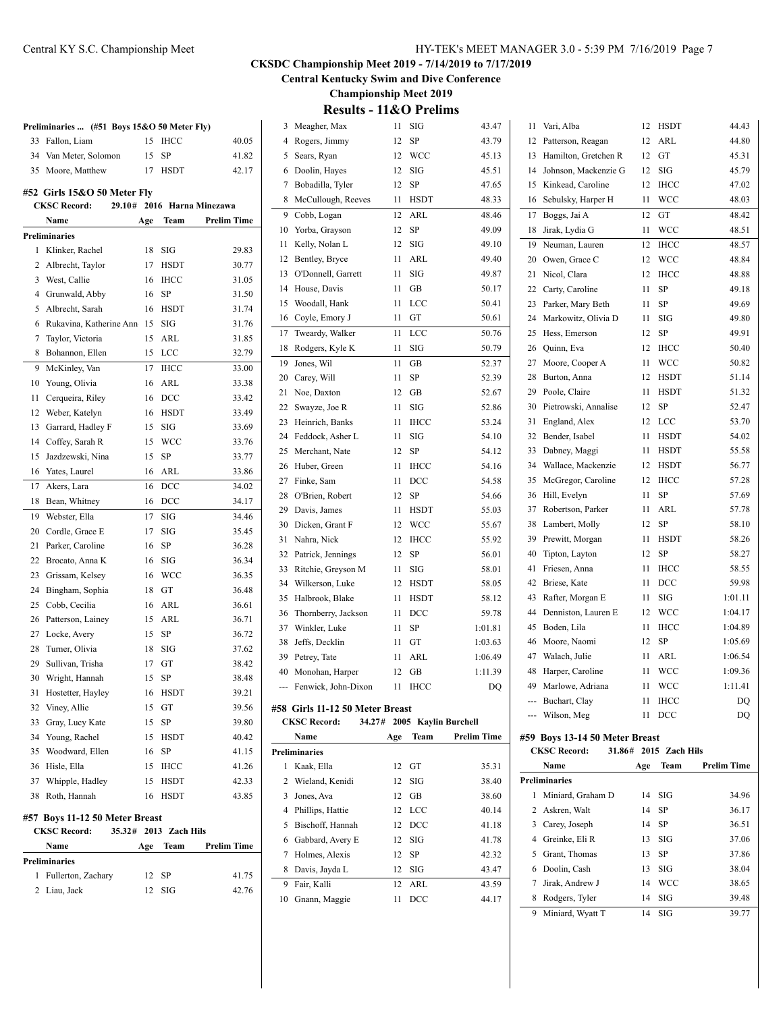**Central Kentucky Swim and Dive Conference**

**Championship Meet 2019**

| ly)                |          | 3 Meagher, Max                    |     | $11$ SIG    | 43.47                       |    | 11 Vari, Alba                  |                       | 12 HSDT     | 44.43              |
|--------------------|----------|-----------------------------------|-----|-------------|-----------------------------|----|--------------------------------|-----------------------|-------------|--------------------|
| 40.05              | 4        | Rogers, Jimmy                     | 12  | SP          | 43.79                       | 12 | Patterson, Reagan              | 12                    | ARL         | 44.80              |
| 41.82              |          | 5 Sears, Ryan                     | 12  | WCC         | 45.13                       | 13 | Hamilton, Gretchen R           | 12                    | GT          | 45.31              |
| 42.17              |          | 6 Doolin, Hayes                   | 12  | SIG         | 45.51                       | 14 | Johnson, Mackenzie G           | 12                    | SIG         | 45.79              |
|                    | 7        | Bobadilla, Tyler                  | 12  | SP          | 47.65                       | 15 | Kinkead, Caroline              | 12                    | <b>IHCC</b> | 47.02              |
|                    |          | 8 McCullough, Reeves              | 11  | HSDT        | 48.33                       |    | 16 Sebulsky, Harper H          | 11                    | <b>WCC</b>  | 48.03              |
| <b>Iinezawa</b>    |          | 9 Cobb, Logan                     | 12  | ARL         | 48.46                       |    | 17 Boggs, Jai A                | 12                    | GT          | 48.42              |
| <b>Prelim Time</b> |          | 10 Yorba, Grayson                 | 12  | SP          | 49.09                       |    | 18 Jirak, Lydia G              | 11                    | WCC         | 48.51              |
|                    | 11       | Kelly, Nolan L                    | 12  | SIG         | 49.10                       | 19 | Neuman, Lauren                 | 12                    | <b>IHCC</b> | 48.57              |
| 29.83              |          | 12 Bentley, Bryce                 | 11  | ARL         | 49.40                       | 20 | Owen, Grace C                  | 12                    | <b>WCC</b>  | 48.84              |
| 30.77              |          | 13 O'Donnell, Garrett             | 11  | <b>SIG</b>  | 49.87                       | 21 | Nicol, Clara                   | 12                    | <b>IHCC</b> | 48.88              |
| 31.05              | 14       | House, Davis                      | 11  | GB          | 50.17                       | 22 | Carty, Caroline                | 11                    | SP          | 49.18              |
| 31.50              | 15       | Woodall, Hank                     | 11  | <b>LCC</b>  | 50.41                       | 23 | Parker, Mary Beth              | 11                    | SP          | 49.69              |
| 31.74              |          | 16 Coyle, Emory J                 | 11  | GT          | 50.61                       | 24 | Markowitz, Olivia D            | 11                    | SIG         | 49.80              |
| 31.76              | 17       | Tweardy, Walker                   | 11  | LCC         | 50.76                       | 25 | Hess, Emerson                  | 12                    | SP          | 49.91              |
| 31.85              |          | 18 Rodgers, Kyle K                | 11  | SIG         | 50.79                       | 26 | Quinn, Eva                     | 12                    | <b>IHCC</b> | 50.40              |
| 32.79              | 19       | Jones, Wil                        | 11  | GB          | 52.37                       | 27 | Moore, Cooper A                | 11                    | <b>WCC</b>  | 50.82              |
| 33.00              | 20       | Carey, Will                       | 11  | SP          | 52.39                       | 28 | Burton, Anna                   |                       | 12 HSDT     | 51.14              |
| 33.38              | 21       | Noe, Daxton                       | 12  | GB          | 52.67                       | 29 | Poole, Claire                  | 11                    | <b>HSDT</b> | 51.32              |
| 33.42              |          | Swayze, Joe R                     | 11  | SIG         | 52.86                       | 30 | Pietrowski, Annalise           | 12                    | SP          | 52.47              |
| 33.49              | 22<br>23 | Heinrich, Banks                   | 11  | <b>IHCC</b> | 53.24                       | 31 | England, Alex                  | 12                    | <b>LCC</b>  | 53.70              |
| 33.69              |          |                                   |     | SIG         |                             | 32 | Bender, Isabel                 | 11                    | <b>HSDT</b> | 54.02              |
| 33.76              | 24       | Feddock, Asher L                  | 11  | <b>SP</b>   | 54.10                       | 33 | Dabney, Maggi                  | 11                    | <b>HSDT</b> | 55.58              |
| 33.77              | 25       | Merchant, Nate<br>26 Huber, Green | 12  | IHCC        | 54.12                       | 34 | Wallace, Mackenzie             | 12                    | <b>HSDT</b> | 56.77              |
| 33.86              |          |                                   | 11  | <b>DCC</b>  | 54.16<br>54.58              |    |                                | 12                    | <b>IHCC</b> | 57.28              |
| 34.02              | 27       | Finke, Sam                        | 11  |             |                             | 35 | McGregor, Caroline             | 11                    | SP          | 57.69              |
| 34.17              | 28       | O'Brien, Robert                   | 12  | SP          | 54.66                       | 36 | Hill, Evelyn                   |                       |             |                    |
| 34.46              | 29       | Davis, James                      | 11  | <b>HSDT</b> | 55.03                       | 37 | Robertson, Parker              | 11                    | ARL         | 57.78              |
| 35.45              | 30       | Dicken, Grant F                   | 12  | <b>WCC</b>  | 55.67                       | 38 | Lambert, Molly                 | 12                    | SP          | 58.10              |
| 36.28              | 31       | Nahra, Nick                       |     | 12 IHCC     | 55.92                       | 39 | Prewitt, Morgan                | 11                    | HSDT        | 58.26              |
| 36.34              | 32       | Patrick, Jennings                 |     | 12 SP       | 56.01                       | 40 | Tipton, Layton                 | 12                    | SP          | 58.27              |
| 36.35              | 33       | Ritchie, Greyson M                |     | $11$ SIG    | 58.01                       | 41 | Friesen, Anna                  | 11                    | <b>IHCC</b> | 58.55              |
| 36.48              | 34       | Wilkerson, Luke                   | 12  | <b>HSDT</b> | 58.05                       | 42 | Briese, Kate                   | 11                    | DCC         | 59.98              |
| 36.61              | 35       | Halbrook, Blake                   | 11  | <b>HSDT</b> | 58.12                       | 43 | Rafter, Morgan E               | 11                    | SIG         | 1:01.11            |
| 36.71              | 36       | Thornberry, Jackson               | 11  | DCC         | 59.78                       | 44 | Denniston, Lauren E            | 12                    | <b>WCC</b>  | 1:04.17            |
| 36.72              | 37       | Winkler, Luke                     | 11  | <b>SP</b>   | 1:01.81                     | 45 | Boden, Lila                    | 11                    | <b>IHCC</b> | 1:04.89            |
| 37.62              | 38       | Jeffs, Decklin                    | 11  | GT          | 1:03.63                     | 46 | Moore, Naomi                   | 12                    | SP          | 1:05.69            |
| 38.42              | 39       | Petrey, Tate                      | 11  | ARL         | 1:06.49                     | 47 | Walach, Julie                  | 11                    | ARL         | 1:06.54            |
| 38.48              |          | 40 Monohan, Harper                | 12  | GB          | 1:11.39                     | 48 | Harper, Caroline               | 11                    | <b>WCC</b>  | 1:09.36            |
| 39.21              |          | Fenwick, John-Dixon               |     | $11$ IHCC   | DQ                          |    | 49 Marlowe, Adriana            | 11                    | <b>WCC</b>  | 1:11.41            |
| 39.56              |          | #58 Girls 11-12 50 Meter Breast   |     |             |                             |    | --- Buchart, Clay              |                       | 11 IHCC     | DQ                 |
| 39.80              |          | <b>CKSC Record:</b>               |     |             | 34.27# 2005 Kaylin Burchell |    | --- Wilson, Meg                |                       | 11 DCC      | DQ                 |
| 40.42              |          | Name                              | Age | Team        | <b>Prelim Time</b>          |    | #59 Boys 13-14 50 Meter Breast |                       |             |                    |
| 41.15              |          | <b>Preliminaries</b>              |     |             |                             |    | <b>CKSC Record:</b>            | 31.86# 2015 Zach Hils |             |                    |
| 41.26              |          | 1 Kaak, Ella                      |     | 12 GT       | 35.31                       |    | Name                           | Age                   | Team        | <b>Prelim Time</b> |
| 42.33              |          | 2 Wieland, Kenidi                 |     | $12$ SIG    | 38.40                       |    | <b>Preliminaries</b>           |                       |             |                    |
| 43.85              | 3        | Jones, Ava                        |     | 12 GB       | 38.60                       |    | 1 Miniard, Graham D            | 14                    | SIG         | 34.96              |
|                    | 4        | Phillips, Hattie                  |     | 12 LCC      | 40.14                       |    | 2 Askren, Walt                 | 14                    | SP          | 36.17              |
|                    | 5        | Bischoff, Hannah                  |     | 12 DCC      | 41.18                       | 3  | Carey, Joseph                  | 14                    | SP          | 36.51              |
|                    | 6        | Gabbard, Avery E                  |     | $12$ SIG    | 41.78                       | 4  | Greinke, Eli R                 | 13                    | SIG         | 37.06              |
| <b>Prelim Time</b> | 7        | Holmes, Alexis                    |     | 12 SP       | 42.32                       | 5. | Grant, Thomas                  | 13                    | SP          | 37.86              |
|                    |          | 8 Davis, Jayda L                  |     | $12$ SIG    | 43.47                       | 6  | Doolin, Cash                   |                       | $13$ SIG    | 38.04              |
| 41.75              | 9        | Fair, Kalli                       | 12  | ARL         | 43.59                       | 7  | Jirak, Andrew J                |                       | 14 WCC      | 38.65              |
| 42.76              |          | 10 Gnann, Maggie                  |     | 11 DCC      | 44.17                       | 8  | Rodgers, Tyler                 | 14                    | SIG         | 39.48              |
|                    |          |                                   |     |             |                             |    | 9 Miniard, Wyatt T             |                       | $14$ SIG    | 39.77              |
|                    |          |                                   |     |             |                             |    |                                |                       |             |                    |

|    | Preliminaries  (#51 Boys 15&O 50 Meter Fly) |          |                |                      |
|----|---------------------------------------------|----------|----------------|----------------------|
| 33 | Fallon, Liam                                | 15       | <b>IHCC</b>    | 40.05                |
| 34 | Van Meter, Solomon                          | 15       | SP             | 41.82                |
| 35 | Moore, Matthew                              | 17       | <b>HSDT</b>    | 42.17                |
|    | #52 Girls 15&O 50 Meter Fly                 |          |                |                      |
|    | <b>CKSC Record:</b><br>29.10#               |          |                | 2016 Harna Minezawa  |
|    | Name                                        | Age      | Team           | <b>Prelim Time</b>   |
|    | Preliminaries                               |          |                |                      |
| 1  | Klinker, Rachel                             | 18       | <b>SIG</b>     | 29.83                |
| 2  | Albrecht, Taylor                            | 17       | <b>HSDT</b>    | 30.77                |
|    | 3 West, Callie                              | 16       | <b>IHCC</b>    | 31.05                |
| 4  | Grunwald, Abby                              | 16       | <b>SP</b>      | 31.50                |
| 5  | Albrecht, Sarah                             | 16       | <b>HSDT</b>    | 31.74                |
| 6  | Rukavina, Katherine Ann                     | 15       | SIG            | 31.76                |
| 7  | Taylor, Victoria                            | 15       | ARL            | 31.85                |
| 8  | Bohannon, Ellen                             | 15       | LCC            | 32.79                |
| 9  | McKinley, Van                               | 17       | <b>IHCC</b>    | 33.00                |
| 10 | Young, Olivia                               | 16       | <b>ARL</b>     | 33.38                |
| 11 | Cerqueira, Riley                            | 16       | DCC            | 33.42                |
| 12 | Weber, Katelyn                              | 16       | <b>HSDT</b>    | 33.49                |
| 13 | Garrard, Hadley F                           | 15       | SIG            | 33.69                |
| 14 |                                             |          | <b>WCC</b>     | 33.76                |
| 15 | Coffey, Sarah R<br>Jazdzewski, Nina         | 15<br>15 | SP             | 33.77                |
|    |                                             |          | ARL            |                      |
| 16 | Yates, Laurel                               | 16       |                | 33.86                |
| 17 | Akers, Lara                                 | 16       | <b>DCC</b>     | 34.02                |
| 18 | Bean, Whitney                               | 16       | DCC            | 34.17                |
| 19 | Webster, Ella                               | 17       | SIG            | 34.46                |
| 20 | Cordle, Grace E                             | 17       | SIG            | 35.45                |
| 21 | Parker, Caroline                            | 16       | SP             | 36.28                |
| 22 | Brocato, Anna K                             | 16       | SIG            | 36.34                |
| 23 | Grissam, Kelsey                             | 16       | <b>WCC</b>     | 36.35                |
| 24 | Bingham, Sophia                             | 18       | GT             | 36.48                |
| 25 | Cobb, Cecilia                               | 16       | ARL            | 36.61                |
| 26 | Patterson, Lainey                           | 15       | ARL            | 36.71                |
| 27 | Locke, Avery                                | 15       | <b>SP</b>      | 36.72                |
| 28 | Turner, Olivia                              | 18       | SIG            | 37.62                |
| 29 | Sullivan, Trisha                            | 17       | GT             | 38.42                |
| 30 | Wright, Hannah                              | 15       | SP             | 38.48                |
| 31 | Hostetter, Hayley                           |          | 16 HSDT        | 39.21                |
|    | 32 Viney, Allie                             | 15       | GT             | 39.56                |
| 33 | Gray, Lucy Kate                             | 15       | SP             | 39.80                |
|    | 34 Young, Rachel                            | 15       | <b>HSDT</b>    | 40.42                |
|    | 35 Woodward, Ellen                          | 16       | SP             | 41.15                |
|    | 36 Hisle, Ella                              | 15       | IHCC           | 41.26                |
| 37 | Whipple, Hadley                             | 15       | <b>HSDT</b>    | 42.33                |
| 38 | Roth, Hannah                                | 16       | <b>HSDT</b>    | 43.85                |
|    | #57 Boys 11-12 50 Meter Breast              |          |                |                      |
|    | <b>CKSC Record:</b><br>35.32#               |          | 2013 Zach Hils |                      |
|    | Name                                        |          |                | Age Team Prelim Time |
|    | Preliminaries                               |          |                |                      |
| 1  | Fullerton, Zachary                          | 12       | SP             | 41.75                |
|    | 2 Liau, Jack                                |          | $12$ SIG       | 42.76                |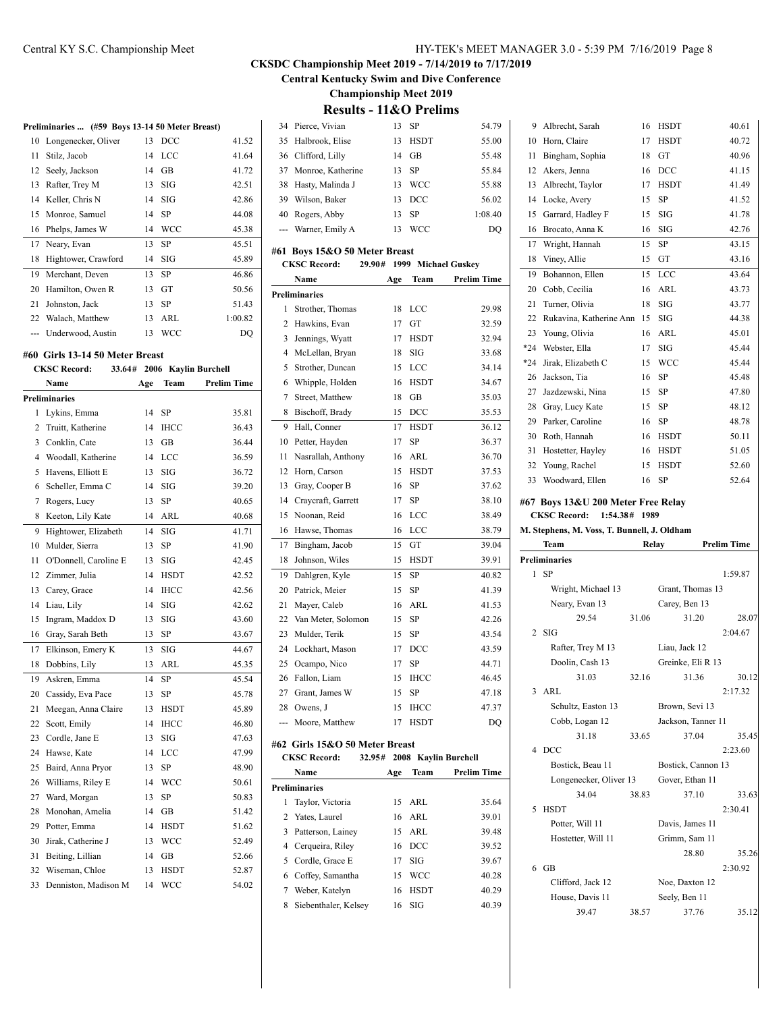**Central Kentucky Swim and Dive Conference**

**Championship Meet 2019**

**Results - 11&O Prelims**

| Preliminaries  (#59 Boys 13-14 50 Meter Breast) |  |  |
|-------------------------------------------------|--|--|

| 10  | Longenecker, Oliver | 13 | <b>DCC</b> | 41.52   |
|-----|---------------------|----|------------|---------|
| 11  | Stilz, Jacob        | 14 | LCC        | 41.64   |
| 12  | Seely, Jackson      | 14 | GB         | 41.72   |
| 13  | Rafter, Trey M      | 13 | SIG        | 42.51   |
| 14  | Keller, Chris N     | 14 | SIG        | 42.86   |
| 15. | Monroe, Samuel      | 14 | SP         | 44.08   |
| 16  | Phelps, James W     | 14 | <b>WCC</b> | 45.38   |
| 17  | Neary, Evan         | 13 | SP         | 45.51   |
| 18  | Hightower, Crawford | 14 | SIG        | 45.89   |
| 19  | Merchant, Deven     | 13 | SP         | 46.86   |
| 20  | Hamilton, Owen R    | 13 | GT         | 50.56   |
| 21  | Johnston, Jack      | 13 | SP         | 51.43   |
| 22  | Walach, Matthew     | 13 | ARL        | 1:00.82 |
|     | Underwood, Austin   | 13 | WCC        | DO      |

#### **#60 Girls 13-14 50 Meter Breast**

## **CKSC Record: 33.64# 2006 Kaylin Burchell**

|                | Name                  | Age | Team        | <b>Prelim Time</b> |
|----------------|-----------------------|-----|-------------|--------------------|
|                | <b>Preliminaries</b>  |     |             |                    |
| 1              | Lykins, Emma          | 14  | <b>SP</b>   | 35.81              |
| $\overline{c}$ | Truitt, Katherine     | 14  | <b>IHCC</b> | 36.43              |
| 3              | Conklin, Cate         | 13  | <b>GB</b>   | 36.44              |
| $\overline{4}$ | Woodall, Katherine    | 14  | <b>LCC</b>  | 36.59              |
| 5              | Havens, Elliott E     | 13  | SIG         | 36.72              |
| 6              | Scheller, Emma C      | 14  | SIG         | 39.20              |
| 7              | Rogers, Lucy          | 13  | SP          | 40.65              |
| 8              | Keeton, Lily Kate     | 14  | ARL         | 40.68              |
| 9              | Hightower, Elizabeth  | 14  | SIG         | 41.71              |
| 10             | Mulder, Sierra        | 13  | SP          | 41.90              |
| 11             | O'Donnell, Caroline E | 13  | <b>SIG</b>  | 42.45              |
| 12             | Zimmer, Julia         | 14  | <b>HSDT</b> | 42.52              |
| 13             | Carey, Grace          | 14  | <b>IHCC</b> | 42.56              |
| 14             | Liau, Lily            | 14  | <b>SIG</b>  | 42.62              |
| 15             | Ingram, Maddox D      | 13  | SIG         | 43.60              |
| 16             | Gray, Sarah Beth      | 13  | SP          | 43.67              |
| 17             | Elkinson, Emery K     | 13  | SIG         | 44.67              |
| 18             | Dobbins, Lily         | 13  | ARL         | 45.35              |
| 19             | Askren, Emma          | 14  | SP          | 45.54              |
| 20             | Cassidy, Eva Pace     | 13  | <b>SP</b>   | 45.78              |
| 21             | Meegan, Anna Claire   | 13  | <b>HSDT</b> | 45.89              |
| 22             | Scott, Emily          | 14  | <b>IHCC</b> | 46.80              |
| 23             | Cordle, Jane E        | 13  | <b>SIG</b>  | 47.63              |
| 24             | Hawse, Kate           | 14  | LCC         | 47.99              |
| 25             | Baird, Anna Pryor     | 13  | SP          | 48.90              |
| 26             | Williams, Riley E     | 14  | <b>WCC</b>  | 50.61              |
| 27             | Ward, Morgan          | 13  | SP          | 50.83              |
| 28             | Monohan, Amelia       | 14  | <b>GB</b>   | 51.42              |
| 29             | Potter, Emma          | 14  | <b>HSDT</b> | 51.62              |
| 30             | Jirak, Catherine J    | 13  | <b>WCC</b>  | 52.49              |
| 31             | Beiting, Lillian      | 14  | <b>GB</b>   | 52.66              |
| 32             | Wiseman, Chloe        | 13  | <b>HSDT</b> | 52.87              |
| 33             | Denniston, Madison M  | 14  | WCC         | 54.02              |
|                |                       |     |             |                    |

|     | 34 Pierce, Vivian    |    | 13 SP       | 54.79   |
|-----|----------------------|----|-------------|---------|
|     | 35 Halbrook, Elise   | 13 | <b>HSDT</b> | 55.00   |
|     | 36 Clifford, Lilly   | 14 | GB          | 55.48   |
|     | 37 Monroe, Katherine |    | 13 SP       | 55.84   |
|     | 38 Hasty, Malinda J  | 13 | <b>WCC</b>  | 55.88   |
| 39. | Wilson, Baker        | 13 | DCC         | 56.02   |
| 40  | Rogers, Abby         | 13 | – SP        | 1:08.40 |
|     | --- Warner, Emily A  | 13 | WCC         | DO      |

### **#61 Boys 15&O 50 Meter Breast**

 $\overline{1}$ 

|                | <b>CKSC Record:</b>                                   | 29.90# | 1999 |             | <b>Michael Guskey</b> |
|----------------|-------------------------------------------------------|--------|------|-------------|-----------------------|
|                | Name                                                  |        | Age  | Team        | <b>Prelim Time</b>    |
|                | <b>Preliminaries</b>                                  |        |      |             |                       |
| 1              | Strother, Thomas                                      |        | 18   | LCC         | 29.98                 |
| $\overline{2}$ | Hawkins, Evan                                         |        | 17   | GT          | 32.59                 |
| 3              | Jennings, Wyatt                                       |        | 17   | <b>HSDT</b> | 32.94                 |
| 4              | McLellan, Bryan                                       |        | 18   | <b>SIG</b>  | 33.68                 |
| 5              | Strother, Duncan                                      |        | 15   | LCC         | 34.14                 |
| 6              | Whipple, Holden                                       |        | 16   | <b>HSDT</b> | 34.67                 |
| $\overline{7}$ | Street, Matthew                                       |        | 18   | GB          | 35.03                 |
| 8              | Bischoff, Brady                                       |        | 15   | DCC         | 35.53                 |
| 9              | Hall, Conner                                          |        | 17   | <b>HSDT</b> | 36.12                 |
| 10             | Petter, Hayden                                        |        | 17   | <b>SP</b>   | 36.37                 |
| 11             | Nasrallah, Anthony                                    |        | 16   | ARL         | 36.70                 |
| 12             | Horn, Carson                                          |        | 15   | <b>HSDT</b> | 37.53                 |
| 13             | Gray, Cooper B                                        |        | 16   | <b>SP</b>   | 37.62                 |
| 14             | Craycraft, Garrett                                    |        | 17   | <b>SP</b>   | 38.10                 |
| 15             | Noonan, Reid                                          |        | 16   | LCC         | 38.49                 |
| 16             | Hawse, Thomas                                         |        | 16   | LCC         | 38.79                 |
| 17             | Bingham, Jacob                                        |        | 15   | GT          | 39.04                 |
| 18             | Johnson, Wiles                                        |        | 15   | <b>HSDT</b> | 39.91                 |
| 19             | Dahlgren, Kyle                                        |        | 15   | SP          | 40.82                 |
| 20             | Patrick, Meier                                        |        | 15   | <b>SP</b>   | 41.39                 |
| 21             | Mayer, Caleb                                          |        | 16   | <b>ARL</b>  | 41.53                 |
| 22             | Van Meter, Solomon                                    |        | 15   | <b>SP</b>   | 42.26                 |
| 23             | Mulder, Terik                                         |        | 15   | <b>SP</b>   | 43.54                 |
| 24             | Lockhart, Mason                                       |        | 17   | DCC         | 43.59                 |
| 25             | Ocampo, Nico                                          |        | 17   | <b>SP</b>   | 44.71                 |
| 26             | Fallon, Liam                                          |        | 15   | <b>IHCC</b> | 46.45                 |
| 27             | Grant, James W                                        |        | 15   | <b>SP</b>   | 47.18                 |
| 28             | Owens, J                                              |        | 15   | <b>IHCC</b> | 47.37                 |
| ---            | Moore, Matthew                                        |        | 17   | <b>HSDT</b> | DQ                    |
|                |                                                       |        |      |             |                       |
|                | #62 Girls 15&O 50 Meter Breast<br><b>CKSC Record:</b> | 32.95# |      |             |                       |
|                |                                                       |        |      |             | 2008 Kaylin Burchell  |
|                | Name                                                  |        | Age  | Team        | <b>Prelim Time</b>    |
|                | <b>Preliminaries</b>                                  |        |      |             |                       |
| 1              | Taylor, Victoria                                      |        | 15   | <b>ARL</b>  | 35.64                 |
| 2              | Yates, Laurel                                         |        | 16   | ARL         | 39.01                 |
| 3              | Patterson, Lainey                                     |        | 15   | <b>ARL</b>  | 39.48                 |
| $\overline{4}$ | Cerqueira, Riley                                      |        | 16   | DCC         | 39.52                 |
| 5              | Cordle, Grace E                                       |        | 17   | SIG         | 39.67                 |
| 6              | Coffey, Samantha                                      |        | 15   | <b>WCC</b>  | 40.28                 |
| $\overline{7}$ | Weber, Katelyn                                        |        | 16   | <b>HSDT</b> | 40.29                 |
| 8              | Siebenthaler, Kelsey                                  |        | 16   | SIG         | 40.39                 |

|       | <b>Preliminaries</b>                        |       |             |                    |  |
|-------|---------------------------------------------|-------|-------------|--------------------|--|
|       | Team                                        | Relay |             | <b>Prelim Time</b> |  |
|       | M. Stephens, M. Voss, T. Bunnell, J. Oldham |       |             |                    |  |
|       | <b>CKSC Record:</b><br>1:54.38#             | 1989  |             |                    |  |
|       | #67 Boys 13&U 200 Meter Free Relay          |       |             |                    |  |
| 33    | Woodward, Ellen                             | 16    | SP          | 52.64              |  |
| 32    | Young, Rachel                               | 15    | <b>HSDT</b> | 52.60              |  |
| 31    | Hostetter, Hayley                           | 16    | <b>HSDT</b> | 51.05              |  |
| 30    | Roth, Hannah                                | 16    | HSDT        | 50.11              |  |
| 29    | Parker, Caroline                            | 16    | SP          | 48.78              |  |
| 28    | Gray, Lucy Kate                             | 15    | <b>SP</b>   | 48.12              |  |
| 27    | Jazdzewski, Nina                            | 15    | SP          | 47.80              |  |
| 26    | Jackson, Tia                                | 16    | SP          | 45.48              |  |
| $*24$ | Jirak, Elizabeth C                          | 15    | <b>WCC</b>  | 45.44              |  |
| $*24$ | Webster, Ella                               | 17    | SIG         | 45.44              |  |
| 23    | Young, Olivia                               | 16    | <b>ARL</b>  | 45.01              |  |
| 22    | Rukavina, Katherine Ann                     | 15    | SIG         | 44.38              |  |
| 21    | Turner, Olivia                              | 18    | SIG         | 43.77              |  |
| 20    | Cobb, Cecilia                               | 16    | <b>ARL</b>  | 43.73              |  |
| 19    | Bohannon, Ellen                             | 15    | <b>LCC</b>  | 43.64              |  |
| 18    | Viney, Allie                                | 15    | GT          | 43.16              |  |
| 17    | Wright, Hannah                              | 15    | SP          | 43.15              |  |
| 16    | Brocato, Anna K                             | 16    | SIG         | 42.76              |  |
| 15    | Garrard, Hadley F                           | 15    | SIG         | 41.78              |  |
| 14    | Locke, Avery                                | 15    | SP          | 41.52              |  |
| 13    | Albrecht, Taylor                            | 17    | <b>HSDT</b> | 41.49              |  |
| 12    | Akers, Jenna                                | 16    | DCC         | 41.15              |  |
| 11    | Bingham, Sophia                             | 18    | GT          | 40.96              |  |
| 10    | Horn, Claire                                | 17    | <b>HSDT</b> | 40.72              |  |
| 9     | Albrecht, Sarah                             | 16    | <b>HSDT</b> | 40.61              |  |

|                | Preliminaries          |       |                    |         |
|----------------|------------------------|-------|--------------------|---------|
|                | $1$ SP                 |       |                    | 1:59.87 |
|                | Wright, Michael 13     |       | Grant, Thomas 13   |         |
|                | Neary, Evan 13         |       | Carey, Ben 13      |         |
|                | 29.54                  | 31.06 | 31.20              | 28.07   |
| $\overline{2}$ | <b>SIG</b>             |       |                    | 2:04.67 |
|                | Rafter, Trey M 13      |       | Liau, Jack 12      |         |
|                | Doolin, Cash 13        |       | Greinke, Eli R 13  |         |
|                | 31.03                  | 32.16 | 31.36              | 30.12   |
|                | $3$ ARL                |       |                    | 2:17.32 |
|                | Schultz, Easton 13     |       | Brown, Sevi 13     |         |
|                | Cobb, Logan 12         |       | Jackson, Tanner 11 |         |
|                | 31.18                  | 33.65 | 37.04              | 35.45   |
|                | 4 DCC                  |       |                    | 2:23.60 |
|                | Bostick, Beau 11       |       | Bostick, Cannon 13 |         |
|                | Longenecker, Oliver 13 |       | Gover, Ethan 11    |         |
|                | 34.04                  | 38.83 | 37.10              | 33.63   |
| 5              | <b>HSDT</b>            |       |                    | 2:30.41 |
|                | Potter, Will 11        |       | Davis, James 11    |         |
|                | Hostetter, Will 11     |       | Grimm, Sam 11      |         |
|                |                        |       | 28.80              | 35.26   |
|                | $6$ GB                 |       |                    | 2:30.92 |
|                | Clifford, Jack 12      |       | Noe, Daxton 12     |         |
|                | House, Davis 11        |       | Seely, Ben 11      |         |
|                | 39.47                  | 38.57 | 37.76              | 35.12   |